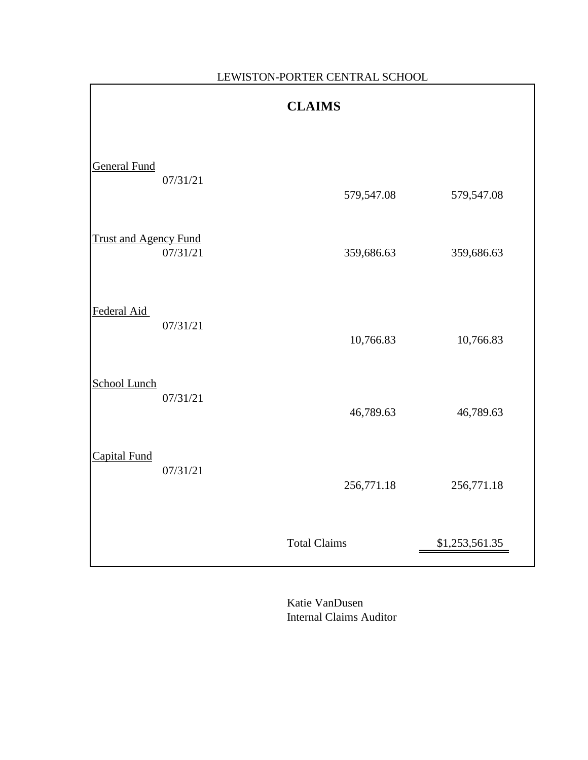|                              | <b>CLAIMS</b> |                     |                |  |  |  |  |  |
|------------------------------|---------------|---------------------|----------------|--|--|--|--|--|
| <b>General Fund</b>          | 07/31/21      | 579,547.08          | 579,547.08     |  |  |  |  |  |
| <b>Trust and Agency Fund</b> | 07/31/21      | 359,686.63          | 359,686.63     |  |  |  |  |  |
| Federal Aid                  | 07/31/21      | 10,766.83           | 10,766.83      |  |  |  |  |  |
| <b>School Lunch</b>          | 07/31/21      | 46,789.63           | 46,789.63      |  |  |  |  |  |
| <b>Capital Fund</b>          | 07/31/21      | 256,771.18          | 256,771.18     |  |  |  |  |  |
|                              |               | <b>Total Claims</b> | \$1,253,561.35 |  |  |  |  |  |

LEWISTON-PORTER CENTRAL SCHOOL

Katie VanDusen Internal Claims Auditor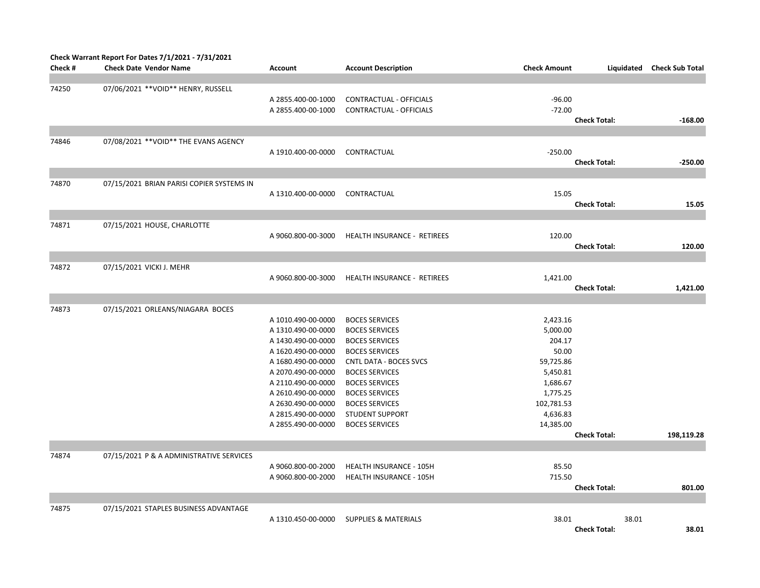| Check #        | Check Warrant Report For Dates 7/1/2021 - 7/31/2021<br><b>Check Date Vendor Name</b> | <b>Account</b>                                                                                                                                                                                                                                 | <b>Account Description</b>                                                                                                                                                                                                                                                               | <b>Check Amount</b>                                                                                                             | Liquidated                   | <b>Check Sub Total</b> |
|----------------|--------------------------------------------------------------------------------------|------------------------------------------------------------------------------------------------------------------------------------------------------------------------------------------------------------------------------------------------|------------------------------------------------------------------------------------------------------------------------------------------------------------------------------------------------------------------------------------------------------------------------------------------|---------------------------------------------------------------------------------------------------------------------------------|------------------------------|------------------------|
|                |                                                                                      |                                                                                                                                                                                                                                                |                                                                                                                                                                                                                                                                                          |                                                                                                                                 |                              |                        |
| 74250          | 07/06/2021 ** VOID** HENRY, RUSSELL                                                  | A 2855.400-00-1000<br>A 2855.400-00-1000                                                                                                                                                                                                       | CONTRACTUAL - OFFICIALS<br>CONTRACTUAL - OFFICIALS                                                                                                                                                                                                                                       | $-96.00$<br>$-72.00$                                                                                                            | <b>Check Total:</b>          | $-168.00$              |
|                |                                                                                      |                                                                                                                                                                                                                                                |                                                                                                                                                                                                                                                                                          |                                                                                                                                 |                              |                        |
| 74846          | 07/08/2021 ** VOID** THE EVANS AGENCY                                                | A 1910.400-00-0000                                                                                                                                                                                                                             | CONTRACTUAL                                                                                                                                                                                                                                                                              | $-250.00$                                                                                                                       | <b>Check Total:</b>          | $-250.00$              |
|                |                                                                                      |                                                                                                                                                                                                                                                |                                                                                                                                                                                                                                                                                          |                                                                                                                                 |                              |                        |
| 74870          | 07/15/2021 BRIAN PARISI COPIER SYSTEMS IN                                            | A 1310.400-00-0000                                                                                                                                                                                                                             | CONTRACTUAL                                                                                                                                                                                                                                                                              | 15.05                                                                                                                           | <b>Check Total:</b>          | 15.05                  |
|                |                                                                                      |                                                                                                                                                                                                                                                |                                                                                                                                                                                                                                                                                          |                                                                                                                                 |                              |                        |
| 74871          | 07/15/2021 HOUSE, CHARLOTTE                                                          | A 9060.800-00-3000                                                                                                                                                                                                                             | HEALTH INSURANCE - RETIREES                                                                                                                                                                                                                                                              | 120.00                                                                                                                          | <b>Check Total:</b>          | 120.00                 |
|                |                                                                                      |                                                                                                                                                                                                                                                |                                                                                                                                                                                                                                                                                          |                                                                                                                                 |                              |                        |
| 74872          | 07/15/2021 VICKI J. MEHR                                                             | A 9060.800-00-3000                                                                                                                                                                                                                             | HEALTH INSURANCE - RETIREES                                                                                                                                                                                                                                                              | 1,421.00                                                                                                                        | <b>Check Total:</b>          | 1,421.00               |
|                |                                                                                      |                                                                                                                                                                                                                                                |                                                                                                                                                                                                                                                                                          |                                                                                                                                 |                              |                        |
| 74873<br>74874 | 07/15/2021 ORLEANS/NIAGARA BOCES<br>07/15/2021 P & A ADMINISTRATIVE SERVICES         | A 1010.490-00-0000<br>A 1310.490-00-0000<br>A 1430.490-00-0000<br>A 1620.490-00-0000<br>A 1680.490-00-0000<br>A 2070.490-00-0000<br>A 2110.490-00-0000<br>A 2610.490-00-0000<br>A 2630.490-00-0000<br>A 2815.490-00-0000<br>A 2855.490-00-0000 | <b>BOCES SERVICES</b><br><b>BOCES SERVICES</b><br><b>BOCES SERVICES</b><br><b>BOCES SERVICES</b><br><b>CNTL DATA - BOCES SVCS</b><br><b>BOCES SERVICES</b><br><b>BOCES SERVICES</b><br><b>BOCES SERVICES</b><br><b>BOCES SERVICES</b><br><b>STUDENT SUPPORT</b><br><b>BOCES SERVICES</b> | 2,423.16<br>5,000.00<br>204.17<br>50.00<br>59,725.86<br>5,450.81<br>1,686.67<br>1,775.25<br>102,781.53<br>4,636.83<br>14,385.00 | <b>Check Total:</b>          | 198,119.28             |
|                |                                                                                      | A 9060.800-00-2000<br>A 9060.800-00-2000                                                                                                                                                                                                       | <b>HEALTH INSURANCE - 105H</b><br><b>HEALTH INSURANCE - 105H</b>                                                                                                                                                                                                                         | 85.50<br>715.50                                                                                                                 |                              |                        |
|                |                                                                                      |                                                                                                                                                                                                                                                |                                                                                                                                                                                                                                                                                          |                                                                                                                                 | <b>Check Total:</b>          | 801.00                 |
| 74875          | 07/15/2021 STAPLES BUSINESS ADVANTAGE                                                | A 1310.450-00-0000                                                                                                                                                                                                                             | <b>SUPPLIES &amp; MATERIALS</b>                                                                                                                                                                                                                                                          | 38.01                                                                                                                           | 38.01<br><b>Check Total:</b> | 38.01                  |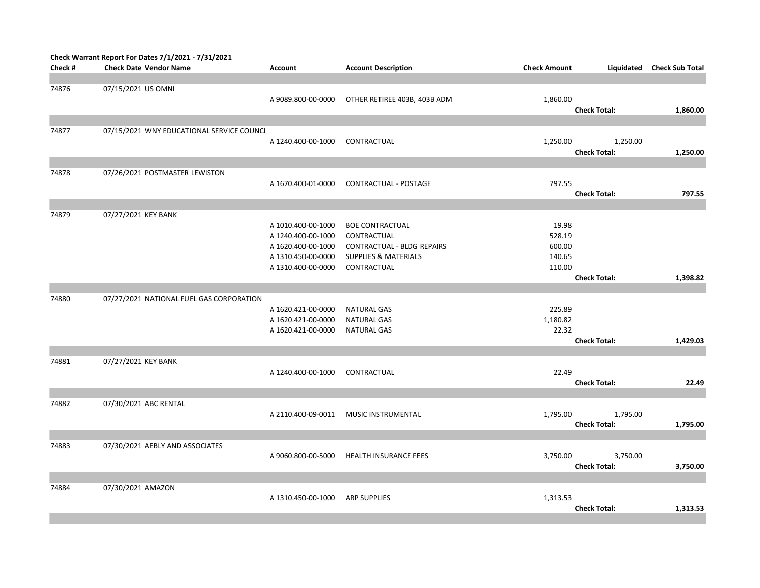|         | Check Warrant Report For Dates 7/1/2021 - 7/31/2021 |                    |                                   |                     |                     |                        |
|---------|-----------------------------------------------------|--------------------|-----------------------------------|---------------------|---------------------|------------------------|
| Check # | <b>Check Date Vendor Name</b>                       | Account            | <b>Account Description</b>        | <b>Check Amount</b> | Liquidated          | <b>Check Sub Total</b> |
|         |                                                     |                    |                                   |                     |                     |                        |
| 74876   | 07/15/2021 US OMNI                                  |                    |                                   |                     |                     |                        |
|         |                                                     | A 9089.800-00-0000 | OTHER RETIREE 403B, 403B ADM      | 1,860.00            |                     |                        |
|         |                                                     |                    |                                   |                     | <b>Check Total:</b> | 1,860.00               |
|         |                                                     |                    |                                   |                     |                     |                        |
| 74877   | 07/15/2021 WNY EDUCATIONAL SERVICE COUNCI           |                    |                                   |                     |                     |                        |
|         |                                                     | A 1240.400-00-1000 | CONTRACTUAL                       | 1,250.00            | 1,250.00            |                        |
|         |                                                     |                    |                                   |                     | <b>Check Total:</b> | 1,250.00               |
|         |                                                     |                    |                                   |                     |                     |                        |
| 74878   | 07/26/2021 POSTMASTER LEWISTON                      |                    |                                   |                     |                     |                        |
|         |                                                     | A 1670.400-01-0000 | CONTRACTUAL - POSTAGE             | 797.55              |                     |                        |
|         |                                                     |                    |                                   |                     | <b>Check Total:</b> | 797.55                 |
|         |                                                     |                    |                                   |                     |                     |                        |
| 74879   | 07/27/2021 KEY BANK                                 |                    |                                   |                     |                     |                        |
|         |                                                     |                    | <b>BOE CONTRACTUAL</b>            | 19.98               |                     |                        |
|         |                                                     | A 1010.400-00-1000 |                                   |                     |                     |                        |
|         |                                                     | A 1240.400-00-1000 | CONTRACTUAL                       | 528.19              |                     |                        |
|         |                                                     | A 1620.400-00-1000 | <b>CONTRACTUAL - BLDG REPAIRS</b> | 600.00              |                     |                        |
|         |                                                     | A 1310.450-00-0000 | <b>SUPPLIES &amp; MATERIALS</b>   | 140.65              |                     |                        |
|         |                                                     | A 1310.400-00-0000 | CONTRACTUAL                       | 110.00              |                     |                        |
|         |                                                     |                    |                                   |                     | <b>Check Total:</b> | 1,398.82               |
|         |                                                     |                    |                                   |                     |                     |                        |
| 74880   | 07/27/2021 NATIONAL FUEL GAS CORPORATION            |                    |                                   |                     |                     |                        |
|         |                                                     | A 1620.421-00-0000 | <b>NATURAL GAS</b>                | 225.89              |                     |                        |
|         |                                                     | A 1620.421-00-0000 | <b>NATURAL GAS</b>                | 1,180.82            |                     |                        |
|         |                                                     | A 1620.421-00-0000 | <b>NATURAL GAS</b>                | 22.32               |                     |                        |
|         |                                                     |                    |                                   |                     | <b>Check Total:</b> | 1,429.03               |
|         |                                                     |                    |                                   |                     |                     |                        |
| 74881   | 07/27/2021 KEY BANK                                 |                    |                                   |                     |                     |                        |
|         |                                                     | A 1240.400-00-1000 | CONTRACTUAL                       | 22.49               |                     |                        |
|         |                                                     |                    |                                   |                     | <b>Check Total:</b> | 22.49                  |
|         |                                                     |                    |                                   |                     |                     |                        |
| 74882   | 07/30/2021 ABC RENTAL                               |                    |                                   |                     |                     |                        |
|         |                                                     | A 2110.400-09-0011 | MUSIC INSTRUMENTAL                | 1,795.00            | 1,795.00            |                        |
|         |                                                     |                    |                                   |                     | <b>Check Total:</b> |                        |
|         |                                                     |                    |                                   |                     |                     | 1,795.00               |
|         |                                                     |                    |                                   |                     |                     |                        |
| 74883   | 07/30/2021 AEBLY AND ASSOCIATES                     |                    |                                   |                     |                     |                        |
|         |                                                     | A 9060.800-00-5000 | HEALTH INSURANCE FEES             | 3,750.00            | 3,750.00            |                        |
|         |                                                     |                    |                                   |                     | <b>Check Total:</b> | 3,750.00               |
|         |                                                     |                    |                                   |                     |                     |                        |
| 74884   | 07/30/2021 AMAZON                                   |                    |                                   |                     |                     |                        |
|         |                                                     | A 1310.450-00-1000 | <b>ARP SUPPLIES</b>               | 1,313.53            |                     |                        |
|         |                                                     |                    |                                   |                     | <b>Check Total:</b> | 1,313.53               |
|         |                                                     |                    |                                   |                     |                     |                        |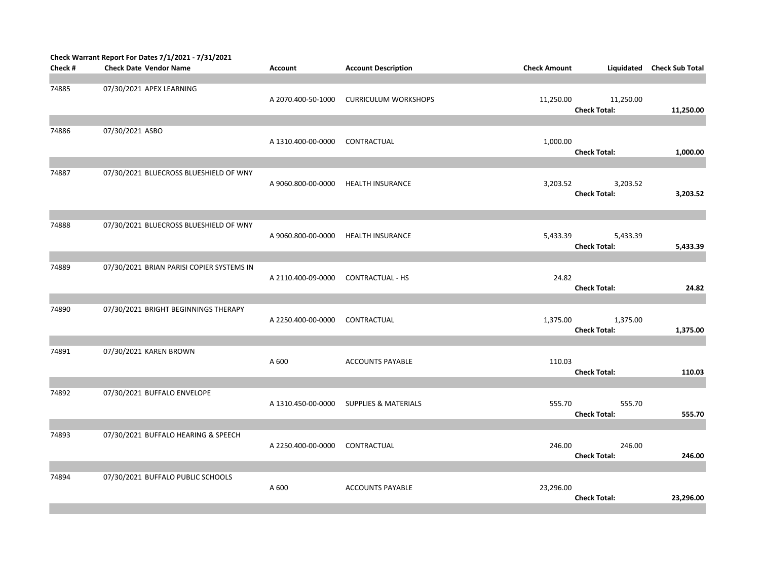|         | Check Warrant Report For Dates 7/1/2021 - 7/31/2021 |                    |                                 |                     |                     |                        |
|---------|-----------------------------------------------------|--------------------|---------------------------------|---------------------|---------------------|------------------------|
| Check # | <b>Check Date Vendor Name</b>                       | <b>Account</b>     | <b>Account Description</b>      | <b>Check Amount</b> | Liquidated          | <b>Check Sub Total</b> |
|         |                                                     |                    |                                 |                     |                     |                        |
| 74885   | 07/30/2021 APEX LEARNING                            |                    |                                 |                     |                     |                        |
|         |                                                     | A 2070.400-50-1000 | <b>CURRICULUM WORKSHOPS</b>     | 11,250.00           | 11,250.00           |                        |
|         |                                                     |                    |                                 |                     | <b>Check Total:</b> | 11,250.00              |
|         |                                                     |                    |                                 |                     |                     |                        |
| 74886   | 07/30/2021 ASBO                                     |                    |                                 |                     |                     |                        |
|         |                                                     | A 1310.400-00-0000 | CONTRACTUAL                     | 1,000.00            |                     |                        |
|         |                                                     |                    |                                 |                     | <b>Check Total:</b> | 1,000.00               |
|         |                                                     |                    |                                 |                     |                     |                        |
| 74887   | 07/30/2021 BLUECROSS BLUESHIELD OF WNY              |                    |                                 |                     |                     |                        |
|         |                                                     | A 9060.800-00-0000 | <b>HEALTH INSURANCE</b>         | 3,203.52            | 3,203.52            |                        |
|         |                                                     |                    |                                 |                     | <b>Check Total:</b> | 3,203.52               |
|         |                                                     |                    |                                 |                     |                     |                        |
|         |                                                     |                    |                                 |                     |                     |                        |
| 74888   | 07/30/2021 BLUECROSS BLUESHIELD OF WNY              |                    |                                 |                     |                     |                        |
|         |                                                     | A 9060.800-00-0000 | <b>HEALTH INSURANCE</b>         | 5,433.39            | 5,433.39            |                        |
|         |                                                     |                    |                                 |                     | <b>Check Total:</b> | 5,433.39               |
|         |                                                     |                    |                                 |                     |                     |                        |
| 74889   | 07/30/2021 BRIAN PARISI COPIER SYSTEMS IN           |                    |                                 |                     |                     |                        |
|         |                                                     | A 2110.400-09-0000 | <b>CONTRACTUAL - HS</b>         | 24.82               |                     |                        |
|         |                                                     |                    |                                 |                     | <b>Check Total:</b> | 24.82                  |
|         |                                                     |                    |                                 |                     |                     |                        |
| 74890   | 07/30/2021 BRIGHT BEGINNINGS THERAPY                |                    |                                 |                     |                     |                        |
|         |                                                     | A 2250.400-00-0000 | CONTRACTUAL                     | 1,375.00            | 1,375.00            |                        |
|         |                                                     |                    |                                 |                     | <b>Check Total:</b> | 1,375.00               |
|         |                                                     |                    |                                 |                     |                     |                        |
| 74891   | 07/30/2021 KAREN BROWN                              |                    |                                 |                     |                     |                        |
|         |                                                     | A 600              | <b>ACCOUNTS PAYABLE</b>         | 110.03              |                     |                        |
|         |                                                     |                    |                                 |                     | <b>Check Total:</b> | 110.03                 |
|         |                                                     |                    |                                 |                     |                     |                        |
| 74892   | 07/30/2021 BUFFALO ENVELOPE                         |                    |                                 |                     |                     |                        |
|         |                                                     | A 1310.450-00-0000 | <b>SUPPLIES &amp; MATERIALS</b> | 555.70              | 555.70              |                        |
|         |                                                     |                    |                                 |                     | <b>Check Total:</b> | 555.70                 |
|         |                                                     |                    |                                 |                     |                     |                        |
| 74893   | 07/30/2021 BUFFALO HEARING & SPEECH                 |                    |                                 |                     |                     |                        |
|         |                                                     | A 2250.400-00-0000 | CONTRACTUAL                     | 246.00              | 246.00              |                        |
|         |                                                     |                    |                                 |                     | <b>Check Total:</b> | 246.00                 |
|         |                                                     |                    |                                 |                     |                     |                        |
| 74894   | 07/30/2021 BUFFALO PUBLIC SCHOOLS                   |                    |                                 |                     |                     |                        |
|         |                                                     | A 600              | <b>ACCOUNTS PAYABLE</b>         | 23,296.00           |                     |                        |
|         |                                                     |                    |                                 |                     | <b>Check Total:</b> | 23,296.00              |
|         |                                                     |                    |                                 |                     |                     |                        |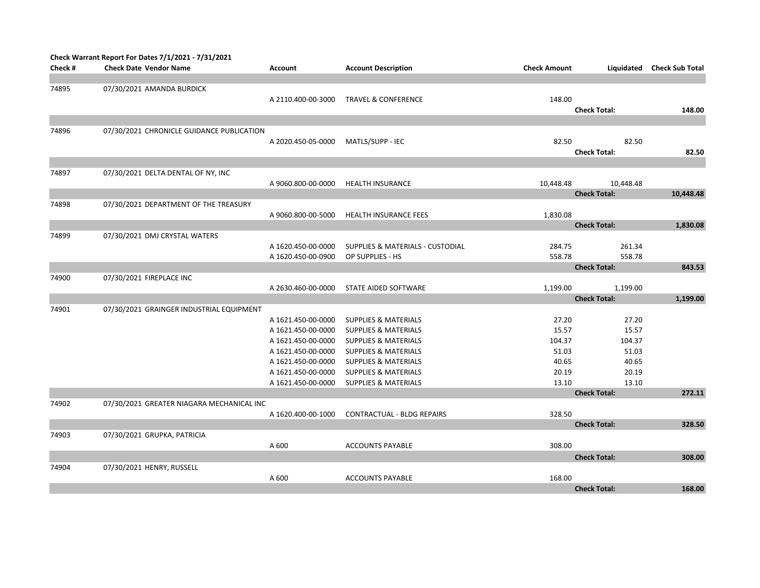|         | Check Warrant Report For Dates 7/1/2021 - 7/31/2021 |                    |                                  |                     |                     |                        |
|---------|-----------------------------------------------------|--------------------|----------------------------------|---------------------|---------------------|------------------------|
| Check # | <b>Check Date Vendor Name</b>                       | <b>Account</b>     | <b>Account Description</b>       | <b>Check Amount</b> | Liquidated          | <b>Check Sub Total</b> |
|         |                                                     |                    |                                  |                     |                     |                        |
| 74895   | 07/30/2021 AMANDA BURDICK                           |                    |                                  |                     |                     |                        |
|         |                                                     | A 2110.400-00-3000 | <b>TRAVEL &amp; CONFERENCE</b>   | 148.00              |                     |                        |
|         |                                                     |                    |                                  |                     | <b>Check Total:</b> | 148.00                 |
|         |                                                     |                    |                                  |                     |                     |                        |
| 74896   | 07/30/2021 CHRONICLE GUIDANCE PUBLICATION           |                    |                                  |                     |                     |                        |
|         |                                                     | A 2020.450-05-0000 | MATLS/SUPP - IEC                 | 82.50               | 82.50               |                        |
|         |                                                     |                    |                                  |                     | <b>Check Total:</b> | 82.50                  |
|         |                                                     |                    |                                  |                     |                     |                        |
| 74897   | 07/30/2021 DELTA DENTAL OF NY, INC                  |                    |                                  |                     |                     |                        |
|         |                                                     | A 9060.800-00-0000 | <b>HEALTH INSURANCE</b>          | 10,448.48           | 10,448.48           |                        |
|         |                                                     |                    |                                  |                     | <b>Check Total:</b> | 10,448.48              |
| 74898   | 07/30/2021 DEPARTMENT OF THE TREASURY               |                    |                                  |                     |                     |                        |
|         |                                                     | A 9060.800-00-5000 | <b>HEALTH INSURANCE FEES</b>     | 1,830.08            |                     |                        |
|         |                                                     |                    |                                  |                     | <b>Check Total:</b> | 1,830.08               |
| 74899   | 07/30/2021 DMJ CRYSTAL WATERS                       |                    |                                  |                     |                     |                        |
|         |                                                     | A 1620.450-00-0000 | SUPPLIES & MATERIALS - CUSTODIAL | 284.75              | 261.34              |                        |
|         |                                                     | A 1620.450-00-0900 | OP SUPPLIES - HS                 | 558.78              | 558.78              |                        |
|         |                                                     |                    |                                  |                     | <b>Check Total:</b> | 843.53                 |
| 74900   | 07/30/2021 FIREPLACE INC                            |                    |                                  |                     |                     |                        |
|         |                                                     | A 2630.460-00-0000 | STATE AIDED SOFTWARE             | 1,199.00            | 1,199.00            |                        |
|         |                                                     |                    |                                  |                     | <b>Check Total:</b> | 1,199.00               |
| 74901   | 07/30/2021 GRAINGER INDUSTRIAL EQUIPMENT            |                    |                                  |                     |                     |                        |
|         |                                                     | A 1621.450-00-0000 | <b>SUPPLIES &amp; MATERIALS</b>  | 27.20               | 27.20               |                        |
|         |                                                     | A 1621.450-00-0000 | <b>SUPPLIES &amp; MATERIALS</b>  | 15.57               | 15.57               |                        |
|         |                                                     | A 1621.450-00-0000 | <b>SUPPLIES &amp; MATERIALS</b>  | 104.37              | 104.37              |                        |
|         |                                                     | A 1621.450-00-0000 | <b>SUPPLIES &amp; MATERIALS</b>  | 51.03               | 51.03               |                        |
|         |                                                     | A 1621.450-00-0000 | <b>SUPPLIES &amp; MATERIALS</b>  | 40.65               | 40.65               |                        |
|         |                                                     | A 1621.450-00-0000 | <b>SUPPLIES &amp; MATERIALS</b>  | 20.19               | 20.19               |                        |
|         |                                                     | A 1621.450-00-0000 | <b>SUPPLIES &amp; MATERIALS</b>  | 13.10               | 13.10               |                        |
|         |                                                     |                    |                                  |                     | <b>Check Total:</b> | 272.11                 |
| 74902   | 07/30/2021 GREATER NIAGARA MECHANICAL INC           |                    |                                  |                     |                     |                        |
|         |                                                     | A 1620.400-00-1000 | CONTRACTUAL - BLDG REPAIRS       | 328.50              |                     |                        |
|         |                                                     |                    |                                  |                     | <b>Check Total:</b> | 328.50                 |
| 74903   | 07/30/2021 GRUPKA, PATRICIA                         |                    |                                  |                     |                     |                        |
|         |                                                     | A 600              | <b>ACCOUNTS PAYABLE</b>          | 308.00              |                     |                        |
|         |                                                     |                    |                                  |                     | <b>Check Total:</b> | 308.00                 |
| 74904   | 07/30/2021 HENRY, RUSSELL                           |                    |                                  |                     |                     |                        |
|         |                                                     | A 600              | <b>ACCOUNTS PAYABLE</b>          | 168.00              |                     |                        |
|         |                                                     |                    |                                  |                     | <b>Check Total:</b> | 168.00                 |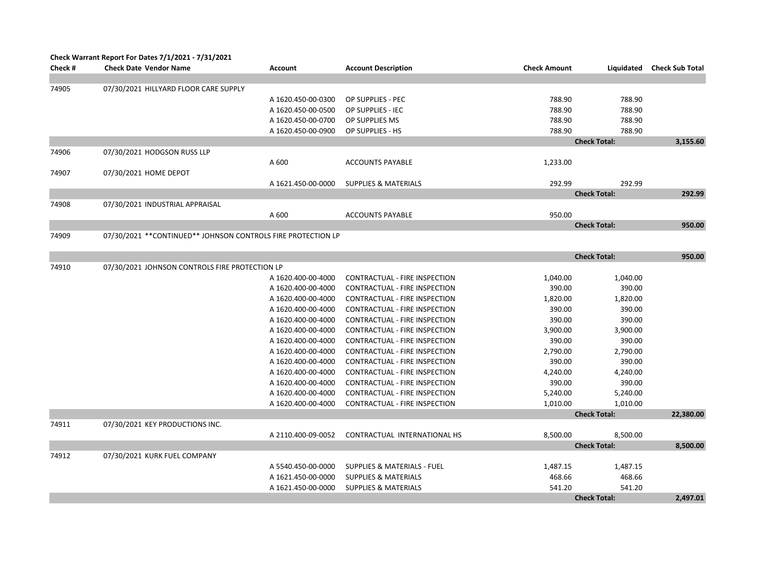|         | Check Warrant Report For Dates 7/1/2021 - 7/31/2021           |                    |                                        |                     |                     |                        |
|---------|---------------------------------------------------------------|--------------------|----------------------------------------|---------------------|---------------------|------------------------|
| Check # | <b>Check Date Vendor Name</b>                                 | <b>Account</b>     | <b>Account Description</b>             | <b>Check Amount</b> | Liquidated          | <b>Check Sub Total</b> |
|         |                                                               |                    |                                        |                     |                     |                        |
| 74905   | 07/30/2021 HILLYARD FLOOR CARE SUPPLY                         |                    |                                        |                     |                     |                        |
|         |                                                               | A 1620.450-00-0300 | OP SUPPLIES - PEC                      | 788.90              | 788.90              |                        |
|         |                                                               | A 1620.450-00-0500 | OP SUPPLIES - IEC                      | 788.90              | 788.90              |                        |
|         |                                                               | A 1620.450-00-0700 | OP SUPPLIES MS                         | 788.90              | 788.90              |                        |
|         |                                                               | A 1620.450-00-0900 | OP SUPPLIES - HS                       | 788.90              | 788.90              |                        |
|         |                                                               |                    |                                        |                     | <b>Check Total:</b> | 3,155.60               |
| 74906   | 07/30/2021 HODGSON RUSS LLP                                   |                    |                                        |                     |                     |                        |
|         |                                                               | A 600              | <b>ACCOUNTS PAYABLE</b>                | 1,233.00            |                     |                        |
| 74907   | 07/30/2021 HOME DEPOT                                         |                    |                                        |                     |                     |                        |
|         |                                                               | A 1621.450-00-0000 | <b>SUPPLIES &amp; MATERIALS</b>        | 292.99              | 292.99              |                        |
|         |                                                               |                    |                                        |                     | <b>Check Total:</b> | 292.99                 |
| 74908   | 07/30/2021 INDUSTRIAL APPRAISAL                               |                    |                                        |                     |                     |                        |
|         |                                                               | A 600              | <b>ACCOUNTS PAYABLE</b>                | 950.00              |                     |                        |
|         |                                                               |                    |                                        |                     | <b>Check Total:</b> | 950.00                 |
| 74909   | 07/30/2021 ** CONTINUED** JOHNSON CONTROLS FIRE PROTECTION LP |                    |                                        |                     |                     |                        |
|         |                                                               |                    |                                        |                     |                     |                        |
|         |                                                               |                    |                                        |                     | <b>Check Total:</b> | 950.00                 |
| 74910   | 07/30/2021 JOHNSON CONTROLS FIRE PROTECTION LP                |                    |                                        |                     |                     |                        |
|         |                                                               | A 1620.400-00-4000 | CONTRACTUAL - FIRE INSPECTION          | 1,040.00            | 1,040.00            |                        |
|         |                                                               | A 1620.400-00-4000 | CONTRACTUAL - FIRE INSPECTION          | 390.00              | 390.00              |                        |
|         |                                                               | A 1620.400-00-4000 | CONTRACTUAL - FIRE INSPECTION          | 1,820.00            | 1,820.00            |                        |
|         |                                                               | A 1620.400-00-4000 | CONTRACTUAL - FIRE INSPECTION          | 390.00              | 390.00              |                        |
|         |                                                               | A 1620.400-00-4000 | CONTRACTUAL - FIRE INSPECTION          | 390.00              | 390.00              |                        |
|         |                                                               | A 1620.400-00-4000 | CONTRACTUAL - FIRE INSPECTION          | 3,900.00            | 3,900.00            |                        |
|         |                                                               | A 1620.400-00-4000 | CONTRACTUAL - FIRE INSPECTION          | 390.00              | 390.00              |                        |
|         |                                                               | A 1620.400-00-4000 | CONTRACTUAL - FIRE INSPECTION          | 2,790.00            | 2,790.00            |                        |
|         |                                                               | A 1620.400-00-4000 | CONTRACTUAL - FIRE INSPECTION          | 390.00              | 390.00              |                        |
|         |                                                               | A 1620.400-00-4000 | CONTRACTUAL - FIRE INSPECTION          | 4,240.00            | 4,240.00            |                        |
|         |                                                               | A 1620.400-00-4000 | CONTRACTUAL - FIRE INSPECTION          | 390.00              | 390.00              |                        |
|         |                                                               | A 1620.400-00-4000 | CONTRACTUAL - FIRE INSPECTION          | 5,240.00            | 5,240.00            |                        |
|         |                                                               | A 1620.400-00-4000 | CONTRACTUAL - FIRE INSPECTION          | 1,010.00            | 1,010.00            |                        |
|         |                                                               |                    |                                        |                     | <b>Check Total:</b> | 22,380.00              |
| 74911   | 07/30/2021 KEY PRODUCTIONS INC.                               |                    |                                        |                     |                     |                        |
|         |                                                               | A 2110.400-09-0052 | CONTRACTUAL INTERNATIONAL HS           | 8,500.00            | 8,500.00            |                        |
|         |                                                               |                    |                                        |                     | <b>Check Total:</b> | 8,500.00               |
| 74912   | 07/30/2021 KURK FUEL COMPANY                                  |                    |                                        |                     |                     |                        |
|         |                                                               | A 5540.450-00-0000 | <b>SUPPLIES &amp; MATERIALS - FUEL</b> | 1,487.15            | 1,487.15            |                        |
|         |                                                               | A 1621.450-00-0000 | <b>SUPPLIES &amp; MATERIALS</b>        | 468.66              | 468.66              |                        |
|         |                                                               | A 1621.450-00-0000 | <b>SUPPLIES &amp; MATERIALS</b>        | 541.20              | 541.20              |                        |
|         |                                                               |                    |                                        |                     | <b>Check Total:</b> | 2.497.01               |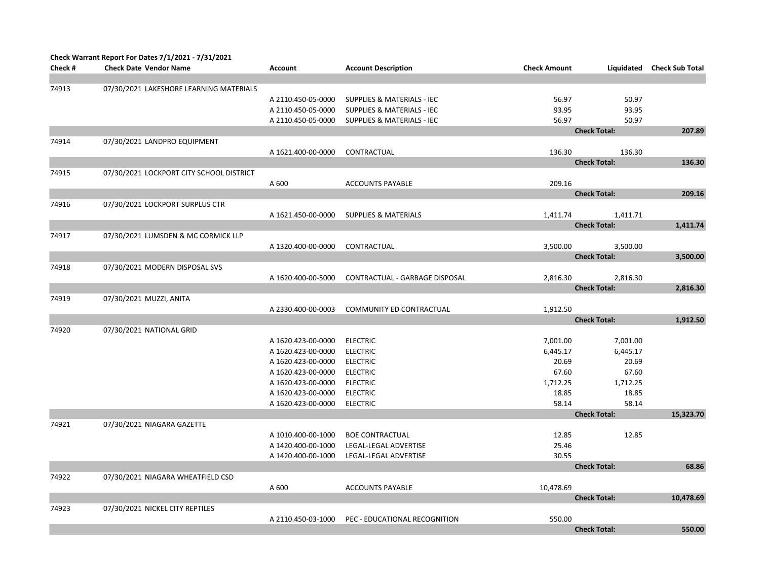|         | <b>Check Warrant Report For Dates 7/1/2021 - 7/31/2021</b> |                    |                                       |                     |                     |                        |
|---------|------------------------------------------------------------|--------------------|---------------------------------------|---------------------|---------------------|------------------------|
| Check # | <b>Check Date Vendor Name</b>                              | <b>Account</b>     | <b>Account Description</b>            | <b>Check Amount</b> | Liquidated          | <b>Check Sub Total</b> |
|         |                                                            |                    |                                       |                     |                     |                        |
| 74913   | 07/30/2021 LAKESHORE LEARNING MATERIALS                    |                    |                                       |                     |                     |                        |
|         |                                                            | A 2110.450-05-0000 | <b>SUPPLIES &amp; MATERIALS - IEC</b> | 56.97               | 50.97               |                        |
|         |                                                            | A 2110.450-05-0000 | <b>SUPPLIES &amp; MATERIALS - IEC</b> | 93.95               | 93.95               |                        |
|         |                                                            | A 2110.450-05-0000 | <b>SUPPLIES &amp; MATERIALS - IEC</b> | 56.97               | 50.97               |                        |
|         |                                                            |                    |                                       |                     | <b>Check Total:</b> | 207.89                 |
| 74914   | 07/30/2021 LANDPRO EQUIPMENT                               |                    |                                       |                     |                     |                        |
|         |                                                            | A 1621.400-00-0000 | CONTRACTUAL                           | 136.30              | 136.30              |                        |
|         |                                                            |                    |                                       |                     | <b>Check Total:</b> | 136.30                 |
| 74915   | 07/30/2021 LOCKPORT CITY SCHOOL DISTRICT                   |                    |                                       |                     |                     |                        |
|         |                                                            | A 600              | <b>ACCOUNTS PAYABLE</b>               | 209.16              |                     |                        |
|         |                                                            |                    |                                       |                     | <b>Check Total:</b> | 209.16                 |
| 74916   | 07/30/2021 LOCKPORT SURPLUS CTR                            |                    |                                       |                     |                     |                        |
|         |                                                            | A 1621.450-00-0000 | <b>SUPPLIES &amp; MATERIALS</b>       | 1,411.74            | 1,411.71            |                        |
|         |                                                            |                    |                                       |                     | <b>Check Total:</b> | 1,411.74               |
| 74917   | 07/30/2021 LUMSDEN & MC CORMICK LLP                        |                    |                                       |                     |                     |                        |
|         |                                                            | A 1320.400-00-0000 | CONTRACTUAL                           | 3,500.00            | 3,500.00            |                        |
|         |                                                            |                    |                                       |                     | <b>Check Total:</b> | 3,500.00               |
| 74918   | 07/30/2021 MODERN DISPOSAL SVS                             |                    |                                       |                     |                     |                        |
|         |                                                            | A 1620.400-00-5000 | CONTRACTUAL - GARBAGE DISPOSAL        | 2,816.30            | 2,816.30            |                        |
|         |                                                            |                    |                                       |                     | <b>Check Total:</b> | 2,816.30               |
| 74919   | 07/30/2021 MUZZI, ANITA                                    |                    |                                       |                     |                     |                        |
|         |                                                            | A 2330.400-00-0003 | COMMUNITY ED CONTRACTUAL              | 1,912.50            |                     |                        |
|         |                                                            |                    |                                       |                     | <b>Check Total:</b> | 1,912.50               |
| 74920   | 07/30/2021 NATIONAL GRID                                   |                    |                                       |                     |                     |                        |
|         |                                                            | A 1620.423-00-0000 | <b>ELECTRIC</b>                       | 7,001.00            | 7,001.00            |                        |
|         |                                                            | A 1620.423-00-0000 | <b>ELECTRIC</b>                       | 6,445.17            | 6,445.17            |                        |
|         |                                                            | A 1620.423-00-0000 | <b>ELECTRIC</b>                       | 20.69               | 20.69               |                        |
|         |                                                            | A 1620.423-00-0000 | <b>ELECTRIC</b>                       | 67.60               | 67.60               |                        |
|         |                                                            | A 1620.423-00-0000 | <b>ELECTRIC</b>                       | 1,712.25            | 1,712.25            |                        |
|         |                                                            | A 1620.423-00-0000 | <b>ELECTRIC</b>                       | 18.85               | 18.85               |                        |
|         |                                                            | A 1620.423-00-0000 | <b>ELECTRIC</b>                       | 58.14               | 58.14               |                        |
|         |                                                            |                    |                                       |                     | <b>Check Total:</b> | 15,323.70              |
| 74921   | 07/30/2021 NIAGARA GAZETTE                                 |                    |                                       |                     |                     |                        |
|         |                                                            | A 1010.400-00-1000 | <b>BOE CONTRACTUAL</b>                | 12.85               | 12.85               |                        |
|         |                                                            | A 1420.400-00-1000 | LEGAL-LEGAL ADVERTISE                 | 25.46               |                     |                        |
|         |                                                            | A 1420.400-00-1000 | LEGAL-LEGAL ADVERTISE                 | 30.55               |                     |                        |
|         |                                                            |                    |                                       |                     | <b>Check Total:</b> | 68.86                  |
| 74922   | 07/30/2021 NIAGARA WHEATFIELD CSD                          |                    |                                       |                     |                     |                        |
|         |                                                            | A 600              | <b>ACCOUNTS PAYABLE</b>               | 10,478.69           | <b>Check Total:</b> | 10,478.69              |
|         | 07/30/2021 NICKEL CITY REPTILES                            |                    |                                       |                     |                     |                        |
| 74923   |                                                            | A 2110.450-03-1000 | PEC - EDUCATIONAL RECOGNITION         | 550.00              |                     |                        |
|         |                                                            |                    |                                       |                     | <b>Check Total:</b> | 550.00                 |
|         |                                                            |                    |                                       |                     |                     |                        |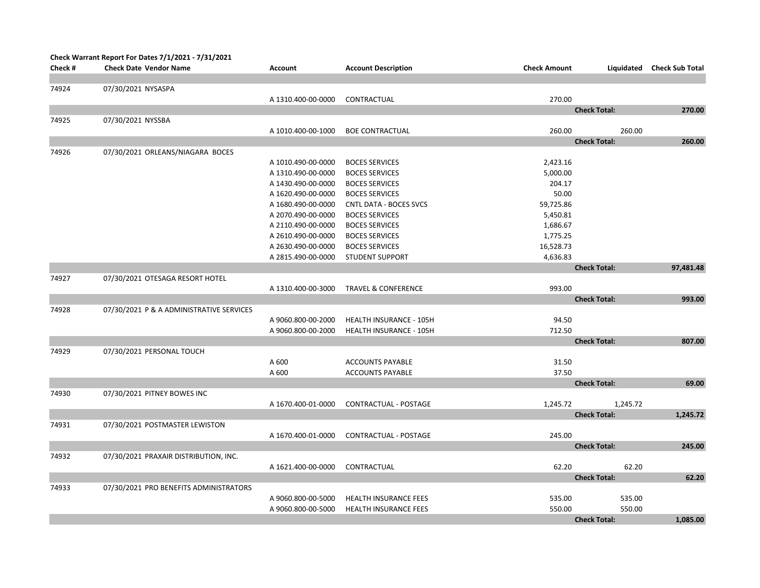| Check #<br><b>Check Date Vendor Name</b><br><b>Account Description</b><br><b>Check Amount</b><br>Liquidated<br><b>Check Sub Total</b><br><b>Account</b><br>07/30/2021 NYSASPA<br>74924<br>270.00<br>A 1310.400-00-0000<br>CONTRACTUAL<br><b>Check Total:</b><br>270.00<br>74925<br>07/30/2021 NYSSBA<br>260.00<br>260.00<br><b>BOE CONTRACTUAL</b><br>A 1010.400-00-1000<br><b>Check Total:</b><br>260.00<br>07/30/2021 ORLEANS/NIAGARA BOCES<br>74926<br>A 1010.490-00-0000<br><b>BOCES SERVICES</b><br>2,423.16<br>A 1310.490-00-0000<br><b>BOCES SERVICES</b><br>5,000.00<br>204.17<br>A 1430.490-00-0000<br><b>BOCES SERVICES</b><br>A 1620.490-00-0000<br><b>BOCES SERVICES</b><br>50.00<br>A 1680.490-00-0000<br><b>CNTL DATA - BOCES SVCS</b><br>59,725.86<br>A 2070.490-00-0000<br><b>BOCES SERVICES</b><br>5,450.81<br>A 2110.490-00-0000<br><b>BOCES SERVICES</b><br>1,686.67<br>A 2610.490-00-0000<br><b>BOCES SERVICES</b><br>1,775.25<br>A 2630.490-00-0000<br><b>BOCES SERVICES</b><br>16,528.73<br>4,636.83<br>A 2815.490-00-0000<br><b>STUDENT SUPPORT</b><br><b>Check Total:</b><br>97,481.48<br>74927<br>07/30/2021 OTESAGA RESORT HOTEL<br>993.00<br>A 1310.400-00-3000<br><b>TRAVEL &amp; CONFERENCE</b><br><b>Check Total:</b><br>993.00<br>74928<br>07/30/2021 P & A ADMINISTRATIVE SERVICES<br>94.50<br>A 9060.800-00-2000<br>HEALTH INSURANCE - 105H<br>712.50<br>A 9060.800-00-2000<br><b>HEALTH INSURANCE - 105H</b><br><b>Check Total:</b><br>807.00<br>74929<br>07/30/2021 PERSONAL TOUCH<br>31.50<br>A 600<br><b>ACCOUNTS PAYABLE</b><br>A 600<br>37.50<br><b>ACCOUNTS PAYABLE</b><br><b>Check Total:</b><br>69.00<br>74930<br>07/30/2021 PITNEY BOWES INC<br>A 1670.400-01-0000<br>CONTRACTUAL - POSTAGE<br>1,245.72<br>1,245.72<br><b>Check Total:</b><br>1,245.72<br>07/30/2021 POSTMASTER LEWISTON<br>74931<br>245.00<br>CONTRACTUAL - POSTAGE<br>A 1670.400-01-0000<br><b>Check Total:</b><br>245.00<br>74932<br>07/30/2021 PRAXAIR DISTRIBUTION, INC.<br>62.20<br>CONTRACTUAL<br>62.20<br>A 1621.400-00-0000<br><b>Check Total:</b><br>62.20<br>74933<br>07/30/2021 PRO BENEFITS ADMINISTRATORS<br>535.00<br>535.00<br>A 9060.800-00-5000<br><b>HEALTH INSURANCE FEES</b><br>A 9060.800-00-5000<br>HEALTH INSURANCE FEES<br>550.00<br>550.00<br>1,085.00<br><b>Check Total:</b> | Check Warrant Report For Dates 7/1/2021 - 7/31/2021 |  |  |  |
|--------------------------------------------------------------------------------------------------------------------------------------------------------------------------------------------------------------------------------------------------------------------------------------------------------------------------------------------------------------------------------------------------------------------------------------------------------------------------------------------------------------------------------------------------------------------------------------------------------------------------------------------------------------------------------------------------------------------------------------------------------------------------------------------------------------------------------------------------------------------------------------------------------------------------------------------------------------------------------------------------------------------------------------------------------------------------------------------------------------------------------------------------------------------------------------------------------------------------------------------------------------------------------------------------------------------------------------------------------------------------------------------------------------------------------------------------------------------------------------------------------------------------------------------------------------------------------------------------------------------------------------------------------------------------------------------------------------------------------------------------------------------------------------------------------------------------------------------------------------------------------------------------------------------------------------------------------------------------------------------------------------------------------------------------------------------------------------------------------------------------------------------------------------------------------------------------------------------------------------------------------------------------------------------------------------------|-----------------------------------------------------|--|--|--|
|                                                                                                                                                                                                                                                                                                                                                                                                                                                                                                                                                                                                                                                                                                                                                                                                                                                                                                                                                                                                                                                                                                                                                                                                                                                                                                                                                                                                                                                                                                                                                                                                                                                                                                                                                                                                                                                                                                                                                                                                                                                                                                                                                                                                                                                                                                                    |                                                     |  |  |  |
|                                                                                                                                                                                                                                                                                                                                                                                                                                                                                                                                                                                                                                                                                                                                                                                                                                                                                                                                                                                                                                                                                                                                                                                                                                                                                                                                                                                                                                                                                                                                                                                                                                                                                                                                                                                                                                                                                                                                                                                                                                                                                                                                                                                                                                                                                                                    |                                                     |  |  |  |
|                                                                                                                                                                                                                                                                                                                                                                                                                                                                                                                                                                                                                                                                                                                                                                                                                                                                                                                                                                                                                                                                                                                                                                                                                                                                                                                                                                                                                                                                                                                                                                                                                                                                                                                                                                                                                                                                                                                                                                                                                                                                                                                                                                                                                                                                                                                    |                                                     |  |  |  |
|                                                                                                                                                                                                                                                                                                                                                                                                                                                                                                                                                                                                                                                                                                                                                                                                                                                                                                                                                                                                                                                                                                                                                                                                                                                                                                                                                                                                                                                                                                                                                                                                                                                                                                                                                                                                                                                                                                                                                                                                                                                                                                                                                                                                                                                                                                                    |                                                     |  |  |  |
|                                                                                                                                                                                                                                                                                                                                                                                                                                                                                                                                                                                                                                                                                                                                                                                                                                                                                                                                                                                                                                                                                                                                                                                                                                                                                                                                                                                                                                                                                                                                                                                                                                                                                                                                                                                                                                                                                                                                                                                                                                                                                                                                                                                                                                                                                                                    |                                                     |  |  |  |
|                                                                                                                                                                                                                                                                                                                                                                                                                                                                                                                                                                                                                                                                                                                                                                                                                                                                                                                                                                                                                                                                                                                                                                                                                                                                                                                                                                                                                                                                                                                                                                                                                                                                                                                                                                                                                                                                                                                                                                                                                                                                                                                                                                                                                                                                                                                    |                                                     |  |  |  |
|                                                                                                                                                                                                                                                                                                                                                                                                                                                                                                                                                                                                                                                                                                                                                                                                                                                                                                                                                                                                                                                                                                                                                                                                                                                                                                                                                                                                                                                                                                                                                                                                                                                                                                                                                                                                                                                                                                                                                                                                                                                                                                                                                                                                                                                                                                                    |                                                     |  |  |  |
|                                                                                                                                                                                                                                                                                                                                                                                                                                                                                                                                                                                                                                                                                                                                                                                                                                                                                                                                                                                                                                                                                                                                                                                                                                                                                                                                                                                                                                                                                                                                                                                                                                                                                                                                                                                                                                                                                                                                                                                                                                                                                                                                                                                                                                                                                                                    |                                                     |  |  |  |
|                                                                                                                                                                                                                                                                                                                                                                                                                                                                                                                                                                                                                                                                                                                                                                                                                                                                                                                                                                                                                                                                                                                                                                                                                                                                                                                                                                                                                                                                                                                                                                                                                                                                                                                                                                                                                                                                                                                                                                                                                                                                                                                                                                                                                                                                                                                    |                                                     |  |  |  |
|                                                                                                                                                                                                                                                                                                                                                                                                                                                                                                                                                                                                                                                                                                                                                                                                                                                                                                                                                                                                                                                                                                                                                                                                                                                                                                                                                                                                                                                                                                                                                                                                                                                                                                                                                                                                                                                                                                                                                                                                                                                                                                                                                                                                                                                                                                                    |                                                     |  |  |  |
|                                                                                                                                                                                                                                                                                                                                                                                                                                                                                                                                                                                                                                                                                                                                                                                                                                                                                                                                                                                                                                                                                                                                                                                                                                                                                                                                                                                                                                                                                                                                                                                                                                                                                                                                                                                                                                                                                                                                                                                                                                                                                                                                                                                                                                                                                                                    |                                                     |  |  |  |
|                                                                                                                                                                                                                                                                                                                                                                                                                                                                                                                                                                                                                                                                                                                                                                                                                                                                                                                                                                                                                                                                                                                                                                                                                                                                                                                                                                                                                                                                                                                                                                                                                                                                                                                                                                                                                                                                                                                                                                                                                                                                                                                                                                                                                                                                                                                    |                                                     |  |  |  |
|                                                                                                                                                                                                                                                                                                                                                                                                                                                                                                                                                                                                                                                                                                                                                                                                                                                                                                                                                                                                                                                                                                                                                                                                                                                                                                                                                                                                                                                                                                                                                                                                                                                                                                                                                                                                                                                                                                                                                                                                                                                                                                                                                                                                                                                                                                                    |                                                     |  |  |  |
|                                                                                                                                                                                                                                                                                                                                                                                                                                                                                                                                                                                                                                                                                                                                                                                                                                                                                                                                                                                                                                                                                                                                                                                                                                                                                                                                                                                                                                                                                                                                                                                                                                                                                                                                                                                                                                                                                                                                                                                                                                                                                                                                                                                                                                                                                                                    |                                                     |  |  |  |
|                                                                                                                                                                                                                                                                                                                                                                                                                                                                                                                                                                                                                                                                                                                                                                                                                                                                                                                                                                                                                                                                                                                                                                                                                                                                                                                                                                                                                                                                                                                                                                                                                                                                                                                                                                                                                                                                                                                                                                                                                                                                                                                                                                                                                                                                                                                    |                                                     |  |  |  |
|                                                                                                                                                                                                                                                                                                                                                                                                                                                                                                                                                                                                                                                                                                                                                                                                                                                                                                                                                                                                                                                                                                                                                                                                                                                                                                                                                                                                                                                                                                                                                                                                                                                                                                                                                                                                                                                                                                                                                                                                                                                                                                                                                                                                                                                                                                                    |                                                     |  |  |  |
|                                                                                                                                                                                                                                                                                                                                                                                                                                                                                                                                                                                                                                                                                                                                                                                                                                                                                                                                                                                                                                                                                                                                                                                                                                                                                                                                                                                                                                                                                                                                                                                                                                                                                                                                                                                                                                                                                                                                                                                                                                                                                                                                                                                                                                                                                                                    |                                                     |  |  |  |
|                                                                                                                                                                                                                                                                                                                                                                                                                                                                                                                                                                                                                                                                                                                                                                                                                                                                                                                                                                                                                                                                                                                                                                                                                                                                                                                                                                                                                                                                                                                                                                                                                                                                                                                                                                                                                                                                                                                                                                                                                                                                                                                                                                                                                                                                                                                    |                                                     |  |  |  |
|                                                                                                                                                                                                                                                                                                                                                                                                                                                                                                                                                                                                                                                                                                                                                                                                                                                                                                                                                                                                                                                                                                                                                                                                                                                                                                                                                                                                                                                                                                                                                                                                                                                                                                                                                                                                                                                                                                                                                                                                                                                                                                                                                                                                                                                                                                                    |                                                     |  |  |  |
|                                                                                                                                                                                                                                                                                                                                                                                                                                                                                                                                                                                                                                                                                                                                                                                                                                                                                                                                                                                                                                                                                                                                                                                                                                                                                                                                                                                                                                                                                                                                                                                                                                                                                                                                                                                                                                                                                                                                                                                                                                                                                                                                                                                                                                                                                                                    |                                                     |  |  |  |
|                                                                                                                                                                                                                                                                                                                                                                                                                                                                                                                                                                                                                                                                                                                                                                                                                                                                                                                                                                                                                                                                                                                                                                                                                                                                                                                                                                                                                                                                                                                                                                                                                                                                                                                                                                                                                                                                                                                                                                                                                                                                                                                                                                                                                                                                                                                    |                                                     |  |  |  |
|                                                                                                                                                                                                                                                                                                                                                                                                                                                                                                                                                                                                                                                                                                                                                                                                                                                                                                                                                                                                                                                                                                                                                                                                                                                                                                                                                                                                                                                                                                                                                                                                                                                                                                                                                                                                                                                                                                                                                                                                                                                                                                                                                                                                                                                                                                                    |                                                     |  |  |  |
|                                                                                                                                                                                                                                                                                                                                                                                                                                                                                                                                                                                                                                                                                                                                                                                                                                                                                                                                                                                                                                                                                                                                                                                                                                                                                                                                                                                                                                                                                                                                                                                                                                                                                                                                                                                                                                                                                                                                                                                                                                                                                                                                                                                                                                                                                                                    |                                                     |  |  |  |
|                                                                                                                                                                                                                                                                                                                                                                                                                                                                                                                                                                                                                                                                                                                                                                                                                                                                                                                                                                                                                                                                                                                                                                                                                                                                                                                                                                                                                                                                                                                                                                                                                                                                                                                                                                                                                                                                                                                                                                                                                                                                                                                                                                                                                                                                                                                    |                                                     |  |  |  |
|                                                                                                                                                                                                                                                                                                                                                                                                                                                                                                                                                                                                                                                                                                                                                                                                                                                                                                                                                                                                                                                                                                                                                                                                                                                                                                                                                                                                                                                                                                                                                                                                                                                                                                                                                                                                                                                                                                                                                                                                                                                                                                                                                                                                                                                                                                                    |                                                     |  |  |  |
|                                                                                                                                                                                                                                                                                                                                                                                                                                                                                                                                                                                                                                                                                                                                                                                                                                                                                                                                                                                                                                                                                                                                                                                                                                                                                                                                                                                                                                                                                                                                                                                                                                                                                                                                                                                                                                                                                                                                                                                                                                                                                                                                                                                                                                                                                                                    |                                                     |  |  |  |
|                                                                                                                                                                                                                                                                                                                                                                                                                                                                                                                                                                                                                                                                                                                                                                                                                                                                                                                                                                                                                                                                                                                                                                                                                                                                                                                                                                                                                                                                                                                                                                                                                                                                                                                                                                                                                                                                                                                                                                                                                                                                                                                                                                                                                                                                                                                    |                                                     |  |  |  |
|                                                                                                                                                                                                                                                                                                                                                                                                                                                                                                                                                                                                                                                                                                                                                                                                                                                                                                                                                                                                                                                                                                                                                                                                                                                                                                                                                                                                                                                                                                                                                                                                                                                                                                                                                                                                                                                                                                                                                                                                                                                                                                                                                                                                                                                                                                                    |                                                     |  |  |  |
|                                                                                                                                                                                                                                                                                                                                                                                                                                                                                                                                                                                                                                                                                                                                                                                                                                                                                                                                                                                                                                                                                                                                                                                                                                                                                                                                                                                                                                                                                                                                                                                                                                                                                                                                                                                                                                                                                                                                                                                                                                                                                                                                                                                                                                                                                                                    |                                                     |  |  |  |
|                                                                                                                                                                                                                                                                                                                                                                                                                                                                                                                                                                                                                                                                                                                                                                                                                                                                                                                                                                                                                                                                                                                                                                                                                                                                                                                                                                                                                                                                                                                                                                                                                                                                                                                                                                                                                                                                                                                                                                                                                                                                                                                                                                                                                                                                                                                    |                                                     |  |  |  |
|                                                                                                                                                                                                                                                                                                                                                                                                                                                                                                                                                                                                                                                                                                                                                                                                                                                                                                                                                                                                                                                                                                                                                                                                                                                                                                                                                                                                                                                                                                                                                                                                                                                                                                                                                                                                                                                                                                                                                                                                                                                                                                                                                                                                                                                                                                                    |                                                     |  |  |  |
|                                                                                                                                                                                                                                                                                                                                                                                                                                                                                                                                                                                                                                                                                                                                                                                                                                                                                                                                                                                                                                                                                                                                                                                                                                                                                                                                                                                                                                                                                                                                                                                                                                                                                                                                                                                                                                                                                                                                                                                                                                                                                                                                                                                                                                                                                                                    |                                                     |  |  |  |
|                                                                                                                                                                                                                                                                                                                                                                                                                                                                                                                                                                                                                                                                                                                                                                                                                                                                                                                                                                                                                                                                                                                                                                                                                                                                                                                                                                                                                                                                                                                                                                                                                                                                                                                                                                                                                                                                                                                                                                                                                                                                                                                                                                                                                                                                                                                    |                                                     |  |  |  |
|                                                                                                                                                                                                                                                                                                                                                                                                                                                                                                                                                                                                                                                                                                                                                                                                                                                                                                                                                                                                                                                                                                                                                                                                                                                                                                                                                                                                                                                                                                                                                                                                                                                                                                                                                                                                                                                                                                                                                                                                                                                                                                                                                                                                                                                                                                                    |                                                     |  |  |  |
|                                                                                                                                                                                                                                                                                                                                                                                                                                                                                                                                                                                                                                                                                                                                                                                                                                                                                                                                                                                                                                                                                                                                                                                                                                                                                                                                                                                                                                                                                                                                                                                                                                                                                                                                                                                                                                                                                                                                                                                                                                                                                                                                                                                                                                                                                                                    |                                                     |  |  |  |
|                                                                                                                                                                                                                                                                                                                                                                                                                                                                                                                                                                                                                                                                                                                                                                                                                                                                                                                                                                                                                                                                                                                                                                                                                                                                                                                                                                                                                                                                                                                                                                                                                                                                                                                                                                                                                                                                                                                                                                                                                                                                                                                                                                                                                                                                                                                    |                                                     |  |  |  |
|                                                                                                                                                                                                                                                                                                                                                                                                                                                                                                                                                                                                                                                                                                                                                                                                                                                                                                                                                                                                                                                                                                                                                                                                                                                                                                                                                                                                                                                                                                                                                                                                                                                                                                                                                                                                                                                                                                                                                                                                                                                                                                                                                                                                                                                                                                                    |                                                     |  |  |  |
|                                                                                                                                                                                                                                                                                                                                                                                                                                                                                                                                                                                                                                                                                                                                                                                                                                                                                                                                                                                                                                                                                                                                                                                                                                                                                                                                                                                                                                                                                                                                                                                                                                                                                                                                                                                                                                                                                                                                                                                                                                                                                                                                                                                                                                                                                                                    |                                                     |  |  |  |
|                                                                                                                                                                                                                                                                                                                                                                                                                                                                                                                                                                                                                                                                                                                                                                                                                                                                                                                                                                                                                                                                                                                                                                                                                                                                                                                                                                                                                                                                                                                                                                                                                                                                                                                                                                                                                                                                                                                                                                                                                                                                                                                                                                                                                                                                                                                    |                                                     |  |  |  |
|                                                                                                                                                                                                                                                                                                                                                                                                                                                                                                                                                                                                                                                                                                                                                                                                                                                                                                                                                                                                                                                                                                                                                                                                                                                                                                                                                                                                                                                                                                                                                                                                                                                                                                                                                                                                                                                                                                                                                                                                                                                                                                                                                                                                                                                                                                                    |                                                     |  |  |  |
|                                                                                                                                                                                                                                                                                                                                                                                                                                                                                                                                                                                                                                                                                                                                                                                                                                                                                                                                                                                                                                                                                                                                                                                                                                                                                                                                                                                                                                                                                                                                                                                                                                                                                                                                                                                                                                                                                                                                                                                                                                                                                                                                                                                                                                                                                                                    |                                                     |  |  |  |
|                                                                                                                                                                                                                                                                                                                                                                                                                                                                                                                                                                                                                                                                                                                                                                                                                                                                                                                                                                                                                                                                                                                                                                                                                                                                                                                                                                                                                                                                                                                                                                                                                                                                                                                                                                                                                                                                                                                                                                                                                                                                                                                                                                                                                                                                                                                    |                                                     |  |  |  |
|                                                                                                                                                                                                                                                                                                                                                                                                                                                                                                                                                                                                                                                                                                                                                                                                                                                                                                                                                                                                                                                                                                                                                                                                                                                                                                                                                                                                                                                                                                                                                                                                                                                                                                                                                                                                                                                                                                                                                                                                                                                                                                                                                                                                                                                                                                                    |                                                     |  |  |  |
|                                                                                                                                                                                                                                                                                                                                                                                                                                                                                                                                                                                                                                                                                                                                                                                                                                                                                                                                                                                                                                                                                                                                                                                                                                                                                                                                                                                                                                                                                                                                                                                                                                                                                                                                                                                                                                                                                                                                                                                                                                                                                                                                                                                                                                                                                                                    |                                                     |  |  |  |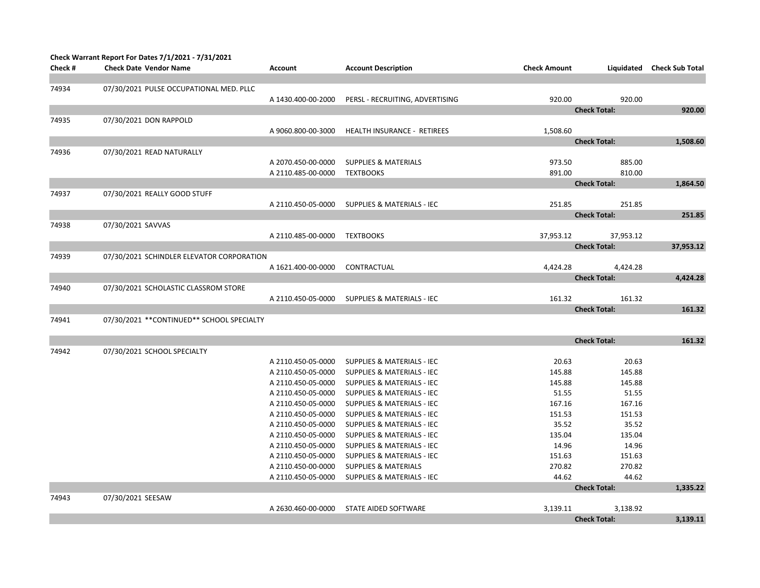|         | Check Warrant Report For Dates 7/1/2021 - 7/31/2021 |                    |                                       |                     |                     |                            |
|---------|-----------------------------------------------------|--------------------|---------------------------------------|---------------------|---------------------|----------------------------|
| Check # | <b>Check Date Vendor Name</b>                       | <b>Account</b>     | <b>Account Description</b>            | <b>Check Amount</b> |                     | Liquidated Check Sub Total |
|         |                                                     |                    |                                       |                     |                     |                            |
| 74934   | 07/30/2021 PULSE OCCUPATIONAL MED. PLLC             |                    |                                       |                     |                     |                            |
|         |                                                     | A 1430.400-00-2000 | PERSL - RECRUITING, ADVERTISING       | 920.00              | 920.00              |                            |
|         |                                                     |                    |                                       |                     | <b>Check Total:</b> | 920.00                     |
| 74935   | 07/30/2021 DON RAPPOLD                              |                    |                                       |                     |                     |                            |
|         |                                                     | A 9060.800-00-3000 | HEALTH INSURANCE - RETIREES           | 1,508.60            |                     |                            |
|         |                                                     |                    |                                       |                     | <b>Check Total:</b> | 1,508.60                   |
| 74936   | 07/30/2021 READ NATURALLY                           |                    |                                       |                     |                     |                            |
|         |                                                     | A 2070.450-00-0000 | <b>SUPPLIES &amp; MATERIALS</b>       | 973.50              | 885.00              |                            |
|         |                                                     | A 2110.485-00-0000 | <b>TEXTBOOKS</b>                      | 891.00              | 810.00              |                            |
|         |                                                     |                    |                                       |                     | <b>Check Total:</b> | 1,864.50                   |
| 74937   | 07/30/2021 REALLY GOOD STUFF                        |                    |                                       |                     |                     |                            |
|         |                                                     | A 2110.450-05-0000 | <b>SUPPLIES &amp; MATERIALS - IEC</b> | 251.85              | 251.85              |                            |
|         |                                                     |                    |                                       |                     | <b>Check Total:</b> | 251.85                     |
| 74938   | 07/30/2021 SAVVAS                                   |                    |                                       |                     |                     |                            |
|         |                                                     | A 2110.485-00-0000 | <b>TEXTBOOKS</b>                      | 37,953.12           | 37,953.12           |                            |
|         |                                                     |                    |                                       |                     | <b>Check Total:</b> | 37,953.12                  |
| 74939   | 07/30/2021 SCHINDLER ELEVATOR CORPORATION           |                    |                                       |                     |                     |                            |
|         |                                                     | A 1621.400-00-0000 | CONTRACTUAL                           | 4,424.28            | 4,424.28            |                            |
|         |                                                     |                    |                                       |                     | <b>Check Total:</b> | 4,424.28                   |
| 74940   | 07/30/2021 SCHOLASTIC CLASSROM STORE                |                    |                                       |                     |                     |                            |
|         |                                                     | A 2110.450-05-0000 | <b>SUPPLIES &amp; MATERIALS - IEC</b> | 161.32              | 161.32              |                            |
|         |                                                     |                    |                                       |                     | <b>Check Total:</b> | 161.32                     |
| 74941   | 07/30/2021 ** CONTINUED** SCHOOL SPECIALTY          |                    |                                       |                     |                     |                            |
|         |                                                     |                    |                                       |                     |                     |                            |
|         |                                                     |                    |                                       |                     | <b>Check Total:</b> | 161.32                     |
| 74942   | 07/30/2021 SCHOOL SPECIALTY                         |                    |                                       |                     |                     |                            |
|         |                                                     | A 2110.450-05-0000 | <b>SUPPLIES &amp; MATERIALS - IEC</b> | 20.63               | 20.63               |                            |
|         |                                                     | A 2110.450-05-0000 | <b>SUPPLIES &amp; MATERIALS - IEC</b> | 145.88              | 145.88              |                            |
|         |                                                     | A 2110.450-05-0000 | <b>SUPPLIES &amp; MATERIALS - IEC</b> | 145.88              | 145.88              |                            |
|         |                                                     | A 2110.450-05-0000 | SUPPLIES & MATERIALS - IEC            | 51.55               | 51.55               |                            |
|         |                                                     | A 2110.450-05-0000 | <b>SUPPLIES &amp; MATERIALS - IEC</b> | 167.16              | 167.16              |                            |
|         |                                                     | A 2110.450-05-0000 | <b>SUPPLIES &amp; MATERIALS - IEC</b> | 151.53              | 151.53              |                            |
|         |                                                     | A 2110.450-05-0000 | <b>SUPPLIES &amp; MATERIALS - IEC</b> | 35.52               | 35.52               |                            |
|         |                                                     | A 2110.450-05-0000 | <b>SUPPLIES &amp; MATERIALS - IEC</b> | 135.04              | 135.04              |                            |
|         |                                                     | A 2110.450-05-0000 | <b>SUPPLIES &amp; MATERIALS - IEC</b> | 14.96               | 14.96               |                            |
|         |                                                     | A 2110.450-05-0000 | SUPPLIES & MATERIALS - IEC            | 151.63              | 151.63              |                            |
|         |                                                     | A 2110.450-00-0000 | <b>SUPPLIES &amp; MATERIALS</b>       | 270.82              | 270.82              |                            |
|         |                                                     | A 2110.450-05-0000 | <b>SUPPLIES &amp; MATERIALS - IEC</b> | 44.62               | 44.62               |                            |
|         |                                                     |                    |                                       |                     | <b>Check Total:</b> | 1,335.22                   |
| 74943   | 07/30/2021 SEESAW                                   |                    |                                       |                     |                     |                            |
|         |                                                     | A 2630.460-00-0000 | STATE AIDED SOFTWARE                  | 3,139.11            | 3,138.92            |                            |
|         |                                                     |                    |                                       |                     | <b>Check Total:</b> | 3,139.11                   |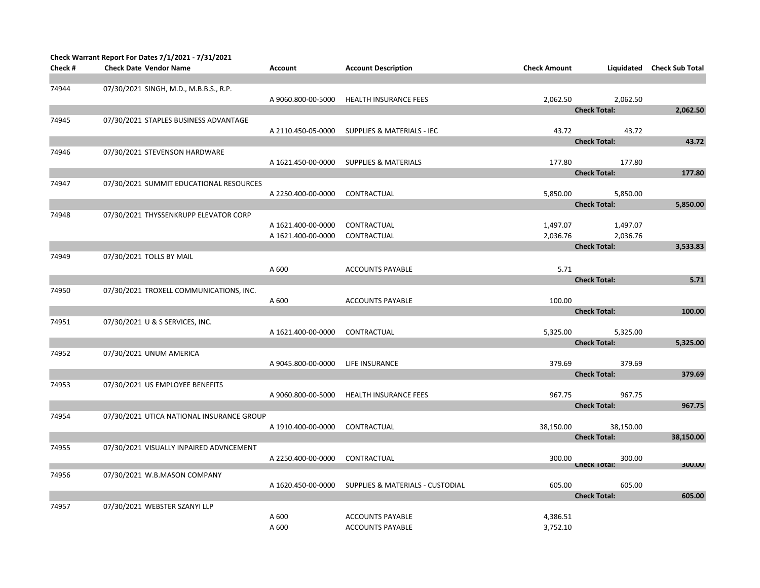|         | Check Warrant Report For Dates 7/1/2021 - 7/31/2021 |                    |                                             |                     |                               |                            |
|---------|-----------------------------------------------------|--------------------|---------------------------------------------|---------------------|-------------------------------|----------------------------|
| Check # | <b>Check Date Vendor Name</b>                       | Account            | <b>Account Description</b>                  | <b>Check Amount</b> |                               | Liquidated Check Sub Total |
| 74944   | 07/30/2021 SINGH, M.D., M.B.B.S., R.P.              |                    |                                             |                     |                               |                            |
|         |                                                     | A 9060.800-00-5000 | <b>HEALTH INSURANCE FEES</b>                | 2.062.50            | 2,062.50                      |                            |
|         |                                                     |                    |                                             |                     | <b>Check Total:</b>           | 2,062.50                   |
| 74945   | 07/30/2021 STAPLES BUSINESS ADVANTAGE               |                    |                                             |                     |                               |                            |
|         |                                                     | A 2110.450-05-0000 | <b>SUPPLIES &amp; MATERIALS - IEC</b>       | 43.72               | 43.72                         |                            |
|         |                                                     |                    |                                             |                     | <b>Check Total:</b>           | 43.72                      |
| 74946   | 07/30/2021 STEVENSON HARDWARE                       |                    |                                             |                     |                               |                            |
|         |                                                     | A 1621.450-00-0000 | <b>SUPPLIES &amp; MATERIALS</b>             | 177.80              | 177.80<br><b>Check Total:</b> | 177.80                     |
| 74947   | 07/30/2021 SUMMIT EDUCATIONAL RESOURCES             |                    |                                             |                     |                               |                            |
|         |                                                     | A 2250.400-00-0000 | CONTRACTUAL                                 | 5,850.00            | 5,850.00                      |                            |
|         |                                                     |                    |                                             |                     | <b>Check Total:</b>           | 5,850.00                   |
| 74948   | 07/30/2021 THYSSENKRUPP ELEVATOR CORP               |                    |                                             |                     |                               |                            |
|         |                                                     | A 1621.400-00-0000 | CONTRACTUAL                                 | 1,497.07            | 1,497.07                      |                            |
|         |                                                     | A 1621.400-00-0000 | CONTRACTUAL                                 | 2,036.76            | 2,036.76                      |                            |
|         |                                                     |                    |                                             |                     | <b>Check Total:</b>           | 3,533.83                   |
| 74949   | 07/30/2021 TOLLS BY MAIL                            |                    |                                             |                     |                               |                            |
|         |                                                     | A 600              | <b>ACCOUNTS PAYABLE</b>                     | 5.71                |                               |                            |
|         |                                                     |                    |                                             |                     | <b>Check Total:</b>           | 5.71                       |
| 74950   | 07/30/2021 TROXELL COMMUNICATIONS, INC.             |                    |                                             |                     |                               |                            |
|         |                                                     | A 600              | <b>ACCOUNTS PAYABLE</b>                     | 100.00              | <b>Check Total:</b>           | 100.00                     |
| 74951   | 07/30/2021 U & S SERVICES, INC.                     |                    |                                             |                     |                               |                            |
|         |                                                     | A 1621.400-00-0000 | CONTRACTUAL                                 | 5,325.00            | 5,325.00                      |                            |
|         |                                                     |                    |                                             |                     | <b>Check Total:</b>           | 5,325.00                   |
| 74952   | 07/30/2021 UNUM AMERICA                             |                    |                                             |                     |                               |                            |
|         |                                                     | A 9045.800-00-0000 | LIFE INSURANCE                              | 379.69              | 379.69                        |                            |
|         |                                                     |                    |                                             |                     | <b>Check Total:</b>           | 379.69                     |
| 74953   | 07/30/2021 US EMPLOYEE BENEFITS                     |                    |                                             |                     |                               |                            |
|         |                                                     | A 9060.800-00-5000 | <b>HEALTH INSURANCE FEES</b>                | 967.75              | 967.75                        |                            |
|         |                                                     |                    |                                             |                     | <b>Check Total:</b>           | 967.75                     |
| 74954   | 07/30/2021 UTICA NATIONAL INSURANCE GROUP           |                    |                                             | 38,150.00           | 38,150.00                     |                            |
|         |                                                     | A 1910.400-00-0000 | CONTRACTUAL                                 |                     | <b>Check Total:</b>           | 38,150.00                  |
| 74955   | 07/30/2021 VISUALLY INPAIRED ADVNCEMENT             |                    |                                             |                     |                               |                            |
|         |                                                     | A 2250.400-00-0000 | CONTRACTUAL                                 | 300.00              | 300.00                        |                            |
|         |                                                     |                    |                                             |                     | спеск тотак                   | <b>3UU.UU</b>              |
| 74956   | 07/30/2021 W.B.MASON COMPANY                        |                    |                                             |                     |                               |                            |
|         |                                                     | A 1620.450-00-0000 | <b>SUPPLIES &amp; MATERIALS - CUSTODIAL</b> | 605.00              | 605.00<br><b>Check Total:</b> | 605.00                     |
| 74957   | 07/30/2021 WEBSTER SZANYI LLP                       |                    |                                             |                     |                               |                            |
|         |                                                     | A 600              | <b>ACCOUNTS PAYABLE</b>                     | 4,386.51            |                               |                            |
|         |                                                     | A 600              | <b>ACCOUNTS PAYABLE</b>                     | 3,752.10            |                               |                            |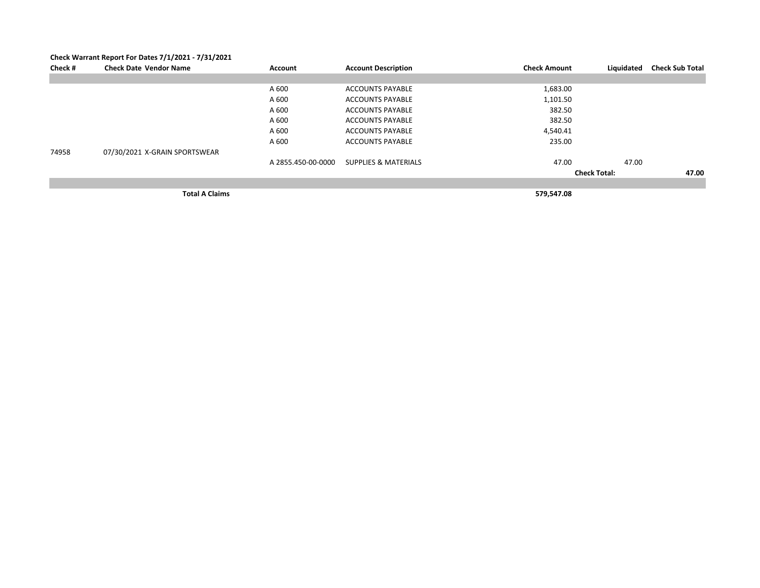|         | Check Warrant Report For Dates 7/1/2021 - 7/31/2021 |                    |                                 |                     |                     |                        |
|---------|-----------------------------------------------------|--------------------|---------------------------------|---------------------|---------------------|------------------------|
| Check # | <b>Check Date Vendor Name</b>                       | Account            | <b>Account Description</b>      | <b>Check Amount</b> | Liquidated          | <b>Check Sub Total</b> |
|         |                                                     |                    |                                 |                     |                     |                        |
|         |                                                     | A 600              | <b>ACCOUNTS PAYABLE</b>         | 1,683.00            |                     |                        |
|         |                                                     | A 600              | <b>ACCOUNTS PAYABLE</b>         | 1,101.50            |                     |                        |
|         |                                                     | A 600              | <b>ACCOUNTS PAYABLE</b>         | 382.50              |                     |                        |
|         |                                                     | A 600              | <b>ACCOUNTS PAYABLE</b>         | 382.50              |                     |                        |
|         |                                                     | A 600              | <b>ACCOUNTS PAYABLE</b>         | 4,540.41            |                     |                        |
|         |                                                     | A 600              | <b>ACCOUNTS PAYABLE</b>         | 235.00              |                     |                        |
| 74958   | 07/30/2021 X-GRAIN SPORTSWEAR                       |                    |                                 |                     |                     |                        |
|         |                                                     | A 2855.450-00-0000 | <b>SUPPLIES &amp; MATERIALS</b> | 47.00               | 47.00               |                        |
|         |                                                     |                    |                                 |                     | <b>Check Total:</b> | 47.00                  |
|         |                                                     |                    |                                 |                     |                     |                        |
|         | <b>Total A Claims</b>                               |                    |                                 | 579,547.08          |                     |                        |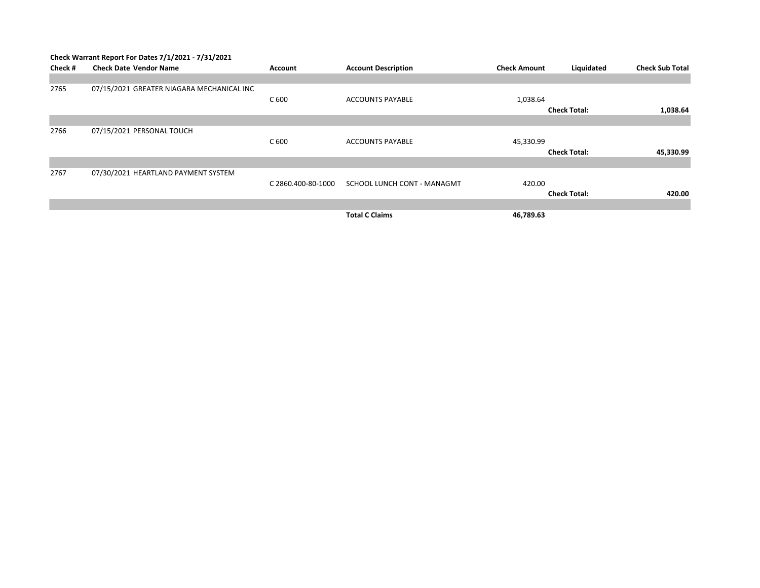|         | Check Warrant Report For Dates 7/1/2021 - 7/31/2021 |                    |                             |                     |                     |                        |  |
|---------|-----------------------------------------------------|--------------------|-----------------------------|---------------------|---------------------|------------------------|--|
| Check # | <b>Check Date Vendor Name</b>                       | Account            | <b>Account Description</b>  | <b>Check Amount</b> | Liquidated          | <b>Check Sub Total</b> |  |
|         |                                                     |                    |                             |                     |                     |                        |  |
| 2765    | 07/15/2021 GREATER NIAGARA MECHANICAL INC           |                    |                             |                     |                     |                        |  |
|         |                                                     | C 600              | <b>ACCOUNTS PAYABLE</b>     | 1,038.64            |                     |                        |  |
|         |                                                     |                    |                             |                     | <b>Check Total:</b> | 1,038.64               |  |
|         |                                                     |                    |                             |                     |                     |                        |  |
| 2766    | 07/15/2021 PERSONAL TOUCH                           |                    |                             |                     |                     |                        |  |
|         |                                                     | C 600              | <b>ACCOUNTS PAYABLE</b>     | 45,330.99           |                     |                        |  |
|         |                                                     |                    |                             |                     | <b>Check Total:</b> | 45,330.99              |  |
|         |                                                     |                    |                             |                     |                     |                        |  |
| 2767    | 07/30/2021 HEARTLAND PAYMENT SYSTEM                 |                    |                             |                     |                     |                        |  |
|         |                                                     | C 2860.400-80-1000 | SCHOOL LUNCH CONT - MANAGMT | 420.00              |                     |                        |  |
|         |                                                     |                    |                             |                     | <b>Check Total:</b> | 420.00                 |  |
|         |                                                     |                    |                             |                     |                     |                        |  |
|         |                                                     |                    | <b>Total C Claims</b>       | 46,789.63           |                     |                        |  |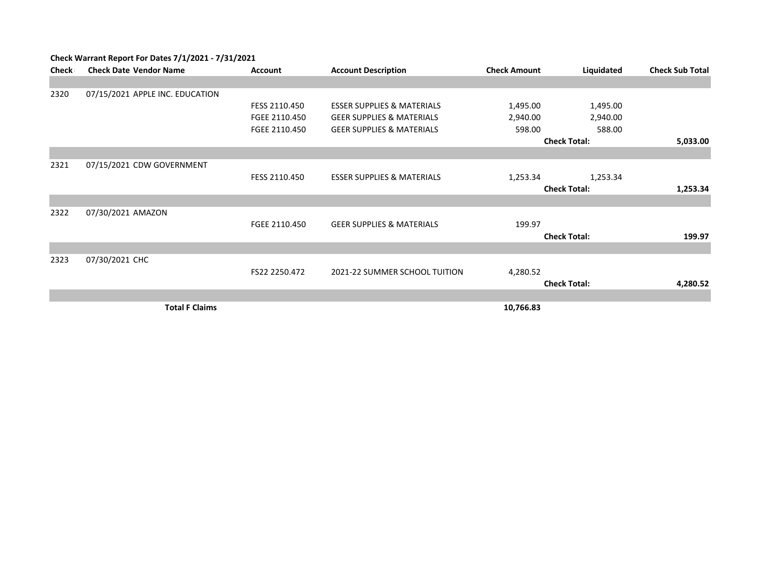| Check | <b>Check Date Vendor Name</b>   | <b>Account</b> | <b>Account Description</b>            | <b>Check Amount</b> | Liquidated          | <b>Check Sub Total</b> |
|-------|---------------------------------|----------------|---------------------------------------|---------------------|---------------------|------------------------|
|       |                                 |                |                                       |                     |                     |                        |
| 2320  | 07/15/2021 APPLE INC. EDUCATION |                |                                       |                     |                     |                        |
|       |                                 | FESS 2110.450  | <b>ESSER SUPPLIES &amp; MATERIALS</b> | 1,495.00            | 1,495.00            |                        |
|       |                                 | FGEE 2110.450  | <b>GEER SUPPLIES &amp; MATERIALS</b>  | 2,940.00            | 2,940.00            |                        |
|       |                                 | FGEE 2110.450  | <b>GEER SUPPLIES &amp; MATERIALS</b>  | 598.00              | 588.00              |                        |
|       |                                 |                |                                       |                     | <b>Check Total:</b> | 5,033.00               |
|       |                                 |                |                                       |                     |                     |                        |
| 2321  | 07/15/2021 CDW GOVERNMENT       |                |                                       |                     |                     |                        |
|       |                                 | FESS 2110.450  | <b>ESSER SUPPLIES &amp; MATERIALS</b> | 1,253.34            | 1,253.34            |                        |
|       |                                 |                |                                       |                     | <b>Check Total:</b> | 1,253.34               |
|       |                                 |                |                                       |                     |                     |                        |
| 2322  | 07/30/2021 AMAZON               |                |                                       |                     |                     |                        |
|       |                                 | FGEE 2110.450  | <b>GEER SUPPLIES &amp; MATERIALS</b>  | 199.97              |                     |                        |
|       |                                 |                |                                       |                     | <b>Check Total:</b> | 199.97                 |
|       |                                 |                |                                       |                     |                     |                        |
| 2323  | 07/30/2021 CHC                  |                |                                       |                     |                     |                        |
|       |                                 | FS22 2250.472  | 2021-22 SUMMER SCHOOL TUITION         | 4,280.52            |                     |                        |
|       |                                 |                |                                       |                     | <b>Check Total:</b> | 4,280.52               |
|       |                                 |                |                                       |                     |                     |                        |
|       | <b>Total F Claims</b>           |                |                                       | 10,766.83           |                     |                        |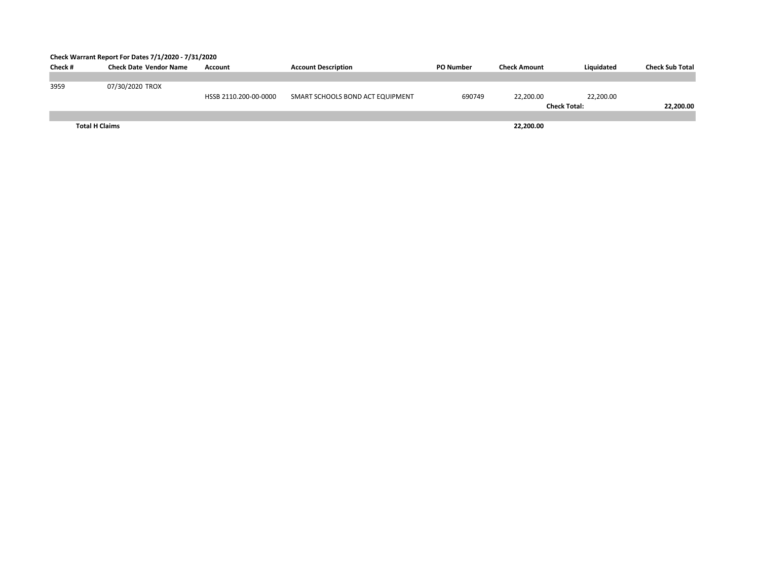## **Check Warrant Report For Dates 7/1/2020 - 7/31/2020**

| Check#                | <b>Check Date Vendor Name</b> | Account               | <b>Account Description</b>       | <b>PO Number</b> | <b>Check Amount</b> | Liquidated          | <b>Check Sub Total</b> |
|-----------------------|-------------------------------|-----------------------|----------------------------------|------------------|---------------------|---------------------|------------------------|
|                       |                               |                       |                                  |                  |                     |                     |                        |
| 3959                  | 07/30/2020 TROX               |                       |                                  |                  |                     |                     |                        |
|                       |                               | HSSB 2110.200-00-0000 | SMART SCHOOLS BOND ACT EQUIPMENT | 690749           | 22.200.00           | 22,200.00           |                        |
|                       |                               |                       |                                  |                  |                     | <b>Check Total:</b> | 22,200.00              |
|                       |                               |                       |                                  |                  |                     |                     |                        |
| <b>Total H Claims</b> |                               |                       |                                  |                  | 22,200.00           |                     |                        |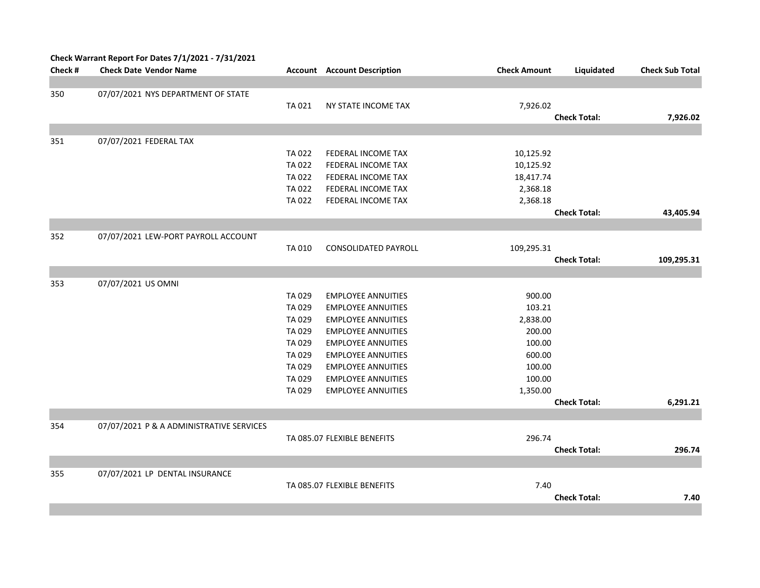| Check # | Check Warrant Report For Dates 7/1/2021 - 7/31/2021<br><b>Check Date Vendor Name</b> |        | <b>Account</b> Account Description | <b>Check Amount</b> | Liquidated          | <b>Check Sub Total</b> |
|---------|--------------------------------------------------------------------------------------|--------|------------------------------------|---------------------|---------------------|------------------------|
|         |                                                                                      |        |                                    |                     |                     |                        |
| 350     | 07/07/2021 NYS DEPARTMENT OF STATE                                                   |        |                                    |                     |                     |                        |
|         |                                                                                      | TA 021 | NY STATE INCOME TAX                | 7,926.02            |                     |                        |
|         |                                                                                      |        |                                    |                     | <b>Check Total:</b> | 7,926.02               |
|         |                                                                                      |        |                                    |                     |                     |                        |
| 351     | 07/07/2021 FEDERAL TAX                                                               |        |                                    |                     |                     |                        |
|         |                                                                                      | TA 022 | FEDERAL INCOME TAX                 | 10,125.92           |                     |                        |
|         |                                                                                      | TA 022 | FEDERAL INCOME TAX                 | 10,125.92           |                     |                        |
|         |                                                                                      | TA 022 | FEDERAL INCOME TAX                 | 18,417.74           |                     |                        |
|         |                                                                                      | TA 022 | FEDERAL INCOME TAX                 | 2,368.18            |                     |                        |
|         |                                                                                      | TA 022 | FEDERAL INCOME TAX                 | 2,368.18            |                     |                        |
|         |                                                                                      |        |                                    |                     | <b>Check Total:</b> | 43,405.94              |
|         |                                                                                      |        |                                    |                     |                     |                        |
| 352     | 07/07/2021 LEW-PORT PAYROLL ACCOUNT                                                  |        |                                    |                     |                     |                        |
|         |                                                                                      | TA 010 | <b>CONSOLIDATED PAYROLL</b>        | 109,295.31          |                     |                        |
|         |                                                                                      |        |                                    |                     | <b>Check Total:</b> | 109,295.31             |
|         |                                                                                      |        |                                    |                     |                     |                        |
| 353     | 07/07/2021 US OMNI                                                                   |        |                                    |                     |                     |                        |
|         |                                                                                      | TA 029 | <b>EMPLOYEE ANNUITIES</b>          | 900.00              |                     |                        |
|         |                                                                                      | TA 029 | <b>EMPLOYEE ANNUITIES</b>          | 103.21              |                     |                        |
|         |                                                                                      | TA 029 | <b>EMPLOYEE ANNUITIES</b>          | 2,838.00            |                     |                        |
|         |                                                                                      | TA 029 | <b>EMPLOYEE ANNUITIES</b>          | 200.00              |                     |                        |
|         |                                                                                      | TA 029 | <b>EMPLOYEE ANNUITIES</b>          | 100.00              |                     |                        |
|         |                                                                                      | TA 029 | <b>EMPLOYEE ANNUITIES</b>          | 600.00              |                     |                        |
|         |                                                                                      | TA 029 | <b>EMPLOYEE ANNUITIES</b>          | 100.00              |                     |                        |
|         |                                                                                      | TA 029 | <b>EMPLOYEE ANNUITIES</b>          | 100.00              |                     |                        |
|         |                                                                                      | TA 029 | <b>EMPLOYEE ANNUITIES</b>          | 1,350.00            |                     |                        |
|         |                                                                                      |        |                                    |                     | <b>Check Total:</b> | 6,291.21               |
|         |                                                                                      |        |                                    |                     |                     |                        |
| 354     | 07/07/2021 P & A ADMINISTRATIVE SERVICES                                             |        |                                    |                     |                     |                        |
|         |                                                                                      |        | TA 085.07 FLEXIBLE BENEFITS        | 296.74              |                     |                        |
|         |                                                                                      |        |                                    |                     | <b>Check Total:</b> | 296.74                 |
|         |                                                                                      |        |                                    |                     |                     |                        |
| 355     | 07/07/2021 LP DENTAL INSURANCE                                                       |        |                                    |                     |                     |                        |
|         |                                                                                      |        | TA 085.07 FLEXIBLE BENEFITS        | 7.40                |                     |                        |
|         |                                                                                      |        |                                    |                     | <b>Check Total:</b> | 7.40                   |
|         |                                                                                      |        |                                    |                     |                     |                        |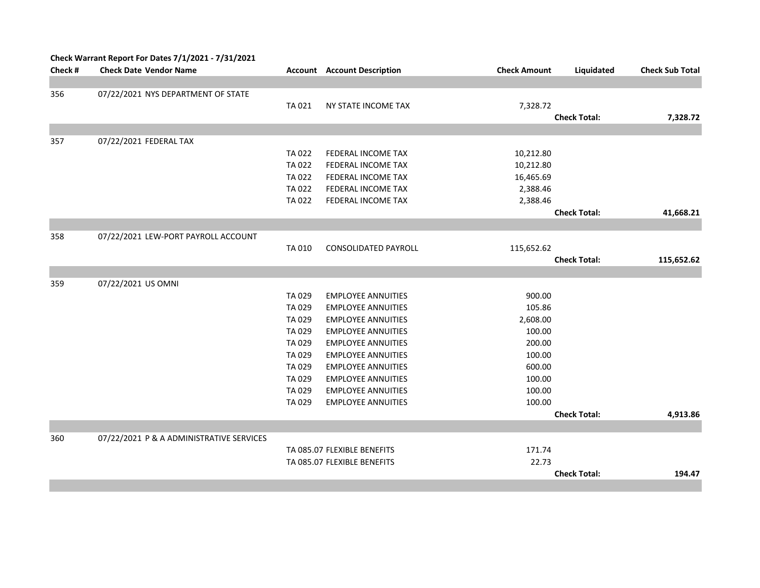|         | Check Warrant Report For Dates 7/1/2021 - 7/31/2021 |              |                                    |                     |                     |                        |
|---------|-----------------------------------------------------|--------------|------------------------------------|---------------------|---------------------|------------------------|
| Check # | <b>Check Date Vendor Name</b>                       |              | <b>Account</b> Account Description | <b>Check Amount</b> | Liquidated          | <b>Check Sub Total</b> |
|         |                                                     |              |                                    |                     |                     |                        |
| 356     | 07/22/2021 NYS DEPARTMENT OF STATE                  |              |                                    |                     |                     |                        |
|         |                                                     | TA 021       | NY STATE INCOME TAX                | 7,328.72            |                     |                        |
|         |                                                     |              |                                    |                     | <b>Check Total:</b> | 7,328.72               |
|         |                                                     |              |                                    |                     |                     |                        |
| 357     | 07/22/2021 FEDERAL TAX                              |              |                                    |                     |                     |                        |
|         |                                                     | TA 022       | FEDERAL INCOME TAX                 | 10,212.80           |                     |                        |
|         |                                                     | TA 022       | FEDERAL INCOME TAX                 | 10,212.80           |                     |                        |
|         |                                                     | TA 022       | FEDERAL INCOME TAX                 | 16,465.69           |                     |                        |
|         |                                                     | TA 022       | FEDERAL INCOME TAX                 | 2,388.46            |                     |                        |
|         |                                                     | TA 022       | FEDERAL INCOME TAX                 | 2,388.46            |                     |                        |
|         |                                                     |              |                                    |                     | <b>Check Total:</b> | 41,668.21              |
|         |                                                     |              |                                    |                     |                     |                        |
| 358     | 07/22/2021 LEW-PORT PAYROLL ACCOUNT                 |              |                                    |                     |                     |                        |
|         |                                                     | <b>TA010</b> | <b>CONSOLIDATED PAYROLL</b>        | 115,652.62          |                     |                        |
|         |                                                     |              |                                    |                     | <b>Check Total:</b> | 115,652.62             |
|         |                                                     |              |                                    |                     |                     |                        |
| 359     | 07/22/2021 US OMNI                                  |              |                                    |                     |                     |                        |
|         |                                                     | TA 029       | <b>EMPLOYEE ANNUITIES</b>          | 900.00              |                     |                        |
|         |                                                     | TA 029       | <b>EMPLOYEE ANNUITIES</b>          | 105.86              |                     |                        |
|         |                                                     | TA 029       | <b>EMPLOYEE ANNUITIES</b>          | 2,608.00            |                     |                        |
|         |                                                     | TA 029       | <b>EMPLOYEE ANNUITIES</b>          | 100.00              |                     |                        |
|         |                                                     | TA 029       | <b>EMPLOYEE ANNUITIES</b>          | 200.00              |                     |                        |
|         |                                                     | TA 029       | <b>EMPLOYEE ANNUITIES</b>          | 100.00              |                     |                        |
|         |                                                     | TA 029       | <b>EMPLOYEE ANNUITIES</b>          | 600.00              |                     |                        |
|         |                                                     | TA 029       | <b>EMPLOYEE ANNUITIES</b>          | 100.00              |                     |                        |
|         |                                                     | TA 029       | <b>EMPLOYEE ANNUITIES</b>          | 100.00              |                     |                        |
|         |                                                     | TA 029       | <b>EMPLOYEE ANNUITIES</b>          | 100.00              |                     |                        |
|         |                                                     |              |                                    |                     | <b>Check Total:</b> | 4,913.86               |
|         |                                                     |              |                                    |                     |                     |                        |
| 360     | 07/22/2021 P & A ADMINISTRATIVE SERVICES            |              |                                    |                     |                     |                        |
|         |                                                     |              | TA 085.07 FLEXIBLE BENEFITS        | 171.74              |                     |                        |
|         |                                                     |              | TA 085.07 FLEXIBLE BENEFITS        | 22.73               |                     |                        |
|         |                                                     |              |                                    |                     | <b>Check Total:</b> | 194.47                 |
|         |                                                     |              |                                    |                     |                     |                        |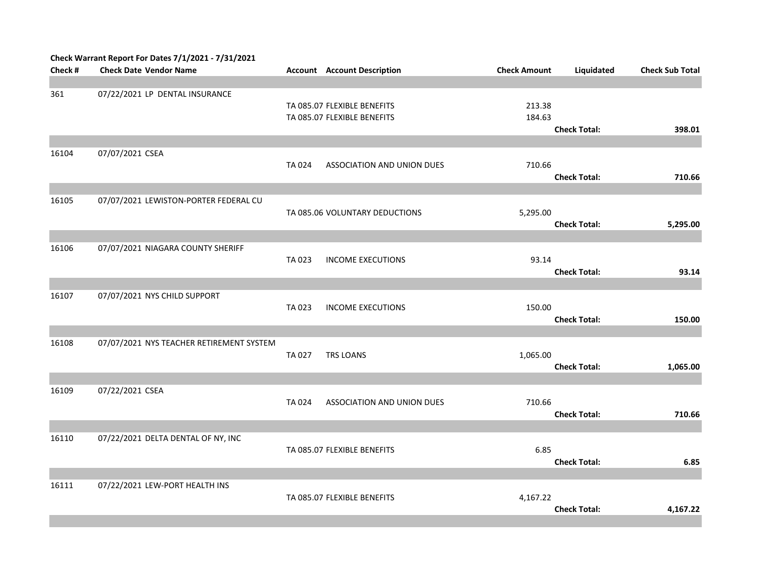|         | Check Warrant Report For Dates 7/1/2021 - 7/31/2021 |        |                                                            |                     |                     |                        |
|---------|-----------------------------------------------------|--------|------------------------------------------------------------|---------------------|---------------------|------------------------|
| Check # | <b>Check Date Vendor Name</b>                       |        | <b>Account</b> Account Description                         | <b>Check Amount</b> | Liquidated          | <b>Check Sub Total</b> |
|         |                                                     |        |                                                            |                     |                     |                        |
| 361     | 07/22/2021 LP DENTAL INSURANCE                      |        | TA 085.07 FLEXIBLE BENEFITS<br>TA 085.07 FLEXIBLE BENEFITS | 213.38<br>184.63    | <b>Check Total:</b> | 398.01                 |
|         |                                                     |        |                                                            |                     |                     |                        |
| 16104   | 07/07/2021 CSEA                                     | TA 024 | ASSOCIATION AND UNION DUES                                 | 710.66              | <b>Check Total:</b> | 710.66                 |
| 16105   | 07/07/2021 LEWISTON-PORTER FEDERAL CU               |        | TA 085.06 VOLUNTARY DEDUCTIONS                             | 5,295.00            | <b>Check Total:</b> | 5,295.00               |
|         |                                                     |        |                                                            |                     |                     |                        |
| 16106   | 07/07/2021 NIAGARA COUNTY SHERIFF                   | TA 023 | <b>INCOME EXECUTIONS</b>                                   | 93.14               | <b>Check Total:</b> | 93.14                  |
| 16107   |                                                     |        |                                                            |                     |                     |                        |
|         | 07/07/2021 NYS CHILD SUPPORT                        | TA 023 | <b>INCOME EXECUTIONS</b>                                   | 150.00              | <b>Check Total:</b> | 150.00                 |
|         |                                                     |        |                                                            |                     |                     |                        |
| 16108   | 07/07/2021 NYS TEACHER RETIREMENT SYSTEM            | TA 027 | TRS LOANS                                                  | 1,065.00            | <b>Check Total:</b> | 1,065.00               |
|         |                                                     |        |                                                            |                     |                     |                        |
| 16109   | 07/22/2021 CSEA                                     | TA 024 | ASSOCIATION AND UNION DUES                                 | 710.66              | <b>Check Total:</b> | 710.66                 |
|         |                                                     |        |                                                            |                     |                     |                        |
| 16110   | 07/22/2021 DELTA DENTAL OF NY, INC                  |        | TA 085.07 FLEXIBLE BENEFITS                                | 6.85                | <b>Check Total:</b> | 6.85                   |
|         |                                                     |        |                                                            |                     |                     |                        |
| 16111   | 07/22/2021 LEW-PORT HEALTH INS                      |        | TA 085.07 FLEXIBLE BENEFITS                                | 4,167.22            | <b>Check Total:</b> | 4,167.22               |
|         |                                                     |        |                                                            |                     |                     |                        |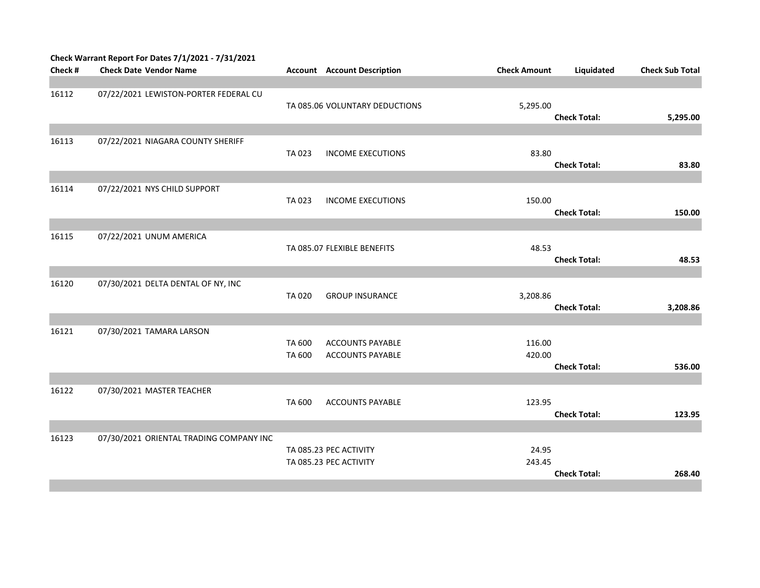|         | Check Warrant Report For Dates 7/1/2021 - 7/31/2021 |              |                                    |                     |                     |                        |
|---------|-----------------------------------------------------|--------------|------------------------------------|---------------------|---------------------|------------------------|
| Check # | <b>Check Date Vendor Name</b>                       |              | <b>Account</b> Account Description | <b>Check Amount</b> | Liquidated          | <b>Check Sub Total</b> |
|         |                                                     |              |                                    |                     |                     |                        |
| 16112   | 07/22/2021 LEWISTON-PORTER FEDERAL CU               |              |                                    |                     |                     |                        |
|         |                                                     |              | TA 085.06 VOLUNTARY DEDUCTIONS     | 5,295.00            |                     |                        |
|         |                                                     |              |                                    |                     | <b>Check Total:</b> | 5,295.00               |
| 16113   | 07/22/2021 NIAGARA COUNTY SHERIFF                   |              |                                    |                     |                     |                        |
|         |                                                     | TA 023       | <b>INCOME EXECUTIONS</b>           | 83.80               |                     |                        |
|         |                                                     |              |                                    |                     | <b>Check Total:</b> | 83.80                  |
|         |                                                     |              |                                    |                     |                     |                        |
| 16114   | 07/22/2021 NYS CHILD SUPPORT                        |              |                                    |                     |                     |                        |
|         |                                                     | TA 023       | <b>INCOME EXECUTIONS</b>           | 150.00              |                     |                        |
|         |                                                     |              |                                    |                     | <b>Check Total:</b> | 150.00                 |
|         |                                                     |              |                                    |                     |                     |                        |
| 16115   | 07/22/2021 UNUM AMERICA                             |              |                                    |                     |                     |                        |
|         |                                                     |              | TA 085.07 FLEXIBLE BENEFITS        | 48.53               |                     |                        |
|         |                                                     |              |                                    |                     | <b>Check Total:</b> | 48.53                  |
| 16120   | 07/30/2021 DELTA DENTAL OF NY, INC                  |              |                                    |                     |                     |                        |
|         |                                                     | <b>TA020</b> | <b>GROUP INSURANCE</b>             | 3,208.86            |                     |                        |
|         |                                                     |              |                                    |                     | <b>Check Total:</b> | 3,208.86               |
|         |                                                     |              |                                    |                     |                     |                        |
| 16121   | 07/30/2021 TAMARA LARSON                            |              |                                    |                     |                     |                        |
|         |                                                     | TA 600       | <b>ACCOUNTS PAYABLE</b>            | 116.00              |                     |                        |
|         |                                                     | TA 600       | <b>ACCOUNTS PAYABLE</b>            | 420.00              |                     |                        |
|         |                                                     |              |                                    |                     | <b>Check Total:</b> | 536.00                 |
|         |                                                     |              |                                    |                     |                     |                        |
| 16122   | 07/30/2021 MASTER TEACHER                           | TA 600       |                                    | 123.95              |                     |                        |
|         |                                                     |              | ACCOUNTS PAYABLE                   |                     | <b>Check Total:</b> | 123.95                 |
|         |                                                     |              |                                    |                     |                     |                        |
| 16123   | 07/30/2021 ORIENTAL TRADING COMPANY INC             |              |                                    |                     |                     |                        |
|         |                                                     |              | TA 085.23 PEC ACTIVITY             | 24.95               |                     |                        |
|         |                                                     |              | TA 085.23 PEC ACTIVITY             | 243.45              |                     |                        |
|         |                                                     |              |                                    |                     | <b>Check Total:</b> | 268.40                 |
|         |                                                     |              |                                    |                     |                     |                        |